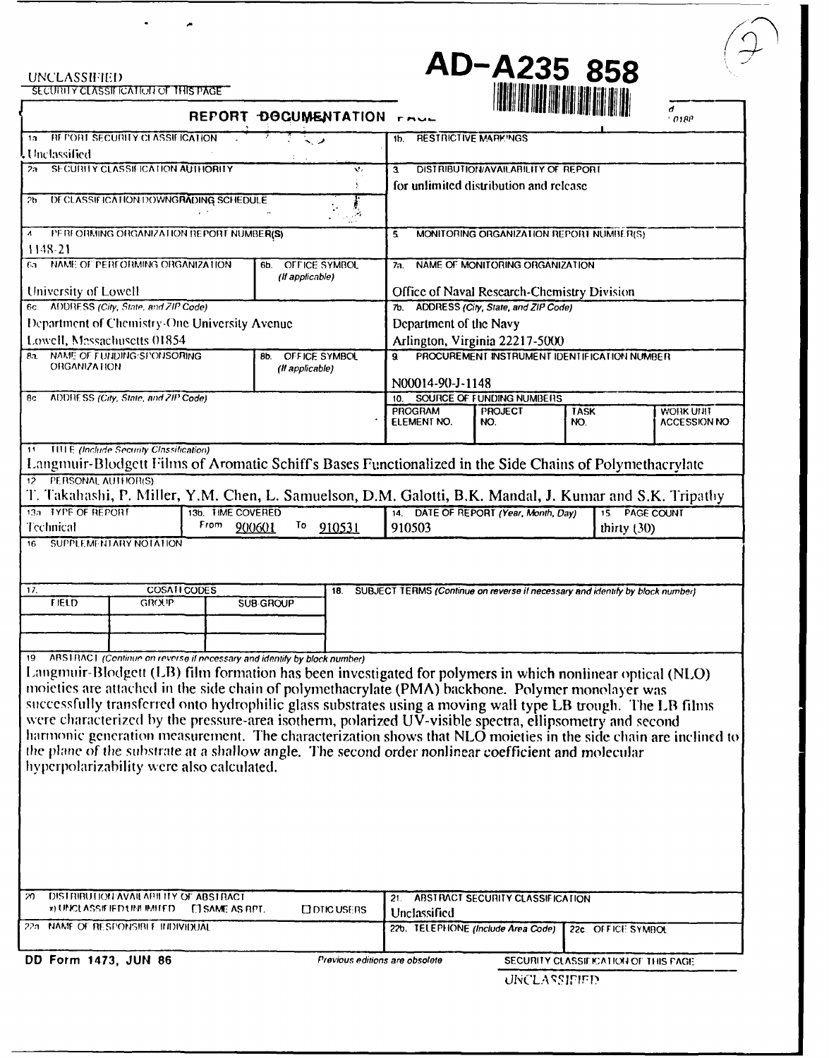UNCLASSIFIED<br>ECURITY CLASSIFICATION OF THIS PAGE

 $\bullet$ 

 $\tilde{\phantom{a}}$ 

**AD-A235 858** 

|                                                                                                                                                                | REPORT DOCUMENTATION FAUL      |                                                      | I JAARJASS KRIM FEDRA TIJAS HIERDI ARIAU BIJN TEIT FART |                                      | d<br>018P           |  |
|----------------------------------------------------------------------------------------------------------------------------------------------------------------|--------------------------------|------------------------------------------------------|---------------------------------------------------------|--------------------------------------|---------------------|--|
| <b>REPORT SECURITY CLASSIFICATION</b><br>าล                                                                                                                    |                                | <b>RESTRICTIVE MARKINGS</b><br>1b.                   |                                                         |                                      |                     |  |
| . Unclassified                                                                                                                                                 |                                |                                                      |                                                         |                                      |                     |  |
| SECURITY CLASSIFICATION AUTHORITY<br>v.<br>25.                                                                                                                 |                                | DISTRIBUTION/AVAILABILITY OF REPORT<br>а             |                                                         |                                      |                     |  |
|                                                                                                                                                                |                                | for unlimited distribution and release               |                                                         |                                      |                     |  |
| DECLASSIFICATION DOWNGRADING SCHEDULE<br>2b<br>Ĵ,                                                                                                              |                                |                                                      |                                                         |                                      |                     |  |
| PERFORMING ORGANIZATION REPORT NUMBER(S)<br>$\boldsymbol{\Lambda}$                                                                                             |                                | 5.                                                   | MONITORING ORGANIZATION REPORT NUMBER(S)                |                                      |                     |  |
| 1148-21                                                                                                                                                        |                                |                                                      |                                                         |                                      |                     |  |
| NAME OF PERFORMING ORGANIZATION<br>OFFICE SYMBOL<br>61.<br>6b.<br>(If applicable)                                                                              |                                | NAME OF MONITORING ORGANIZATION<br>7а.               |                                                         |                                      |                     |  |
| University of Lowell                                                                                                                                           |                                | Office of Naval Research-Chemistry Division          |                                                         |                                      |                     |  |
| 6c. ADDRESS (City, State, and ZIP Code)                                                                                                                        |                                | 7b. ADDRESS (City, State, and ZIP Code)              |                                                         |                                      |                     |  |
| Department of Chemistry-One University Avenue                                                                                                                  |                                | Department of the Navy                               |                                                         |                                      |                     |  |
| Lowell, Massachusetts 01854                                                                                                                                    |                                | Arlington, Virginia 22217-5000                       |                                                         |                                      |                     |  |
| NAME OF FUNDING SPONSORING<br>82.<br><b>ORGANIZATION</b>                                                                                                       | OFFICE SYMBOL<br>8b.           | PROCUREMENT INSTRUMENT IDENTIFICATION NUMBER<br>9.   |                                                         |                                      |                     |  |
|                                                                                                                                                                | (Il applicable)                |                                                      |                                                         |                                      |                     |  |
| ADDRESS (City, State, and ZIP Code)<br>8с                                                                                                                      |                                | N00014-90-J-1148<br>SOURCE OF FUNDING NUMBERS<br>10. |                                                         |                                      |                     |  |
|                                                                                                                                                                |                                | <b>PROGRAM</b>                                       | <b>PROJECT</b>                                          | <b>TASK</b>                          | WORK UNIT           |  |
|                                                                                                                                                                |                                | ELEMENT NO.                                          | NO.                                                     | NO.                                  | <b>ACCESSION NO</b> |  |
|                                                                                                                                                                |                                |                                                      |                                                         |                                      |                     |  |
| 11 <b>IIII E</b> (Include Security Classification)<br>Langmuir-Blodgett Films of Aromatic Schiff's Bases Functionalized in the Side Chains of Polymethacrylate |                                |                                                      |                                                         |                                      |                     |  |
| 12 PERSONAL AUTHOR(S)                                                                                                                                          |                                |                                                      |                                                         |                                      |                     |  |
| T. Takahashi, P. Miller, Y.M. Chen, L. Samuelson, D.M. Galotti, B.K. Mandal, J. Kumar and S.K. Tripathy                                                        |                                |                                                      |                                                         |                                      |                     |  |
| 13a TYPE OF REPORT<br>13b. TIME COVERED<br>From                                                                                                                | To.<br>910531                  |                                                      | 14. DATE OF REPORT (Year, Month, Day)                   | 15. PAGE COUNT                       |                     |  |
| Technical<br>900601                                                                                                                                            | 910503                         |                                                      | thirty $(30)$                                           |                                      |                     |  |
| SUPPLEMENTARY NOTATION<br>16                                                                                                                                   |                                |                                                      |                                                         |                                      |                     |  |
| COSATI CODES<br>17.<br>SUBJECT TERMS (Continue on reverse if necessary and identify by block number)<br>18.                                                    |                                |                                                      |                                                         |                                      |                     |  |
| <b>FIELD</b><br>SUB-GROUP<br>GROUP                                                                                                                             |                                |                                                      |                                                         |                                      |                     |  |
|                                                                                                                                                                |                                |                                                      |                                                         |                                      |                     |  |
|                                                                                                                                                                |                                |                                                      |                                                         |                                      |                     |  |
| 19 ABSTRACT (Continue on reverse if necessary and identify by block number)                                                                                    |                                |                                                      |                                                         |                                      |                     |  |
| Langmuir-Blodgett (LB) film formation has been investigated for polymers in which nonlinear optical (NLO)                                                      |                                |                                                      |                                                         |                                      |                     |  |
| moieties are attached in the side chain of polymethacrylate (PMA) backbone. Polymer monolayer was                                                              |                                |                                                      |                                                         |                                      |                     |  |
| successfully transferred onto hydrophilic glass substrates using a moving wall type LB trough. The LB films                                                    |                                |                                                      |                                                         |                                      |                     |  |
| were characterized by the pressure-area isotherm, polarized UV-visible spectra, ellipsometry and second                                                        |                                |                                                      |                                                         |                                      |                     |  |
| harmonic generation measurement. The characterization shows that NLO moieties in the side chain are inclined to                                                |                                |                                                      |                                                         |                                      |                     |  |
| the plane of the substrate at a shallow angle. The second order nonlinear coefficient and molecular                                                            |                                |                                                      |                                                         |                                      |                     |  |
| hyperpolarizability were also calculated.                                                                                                                      |                                |                                                      |                                                         |                                      |                     |  |
|                                                                                                                                                                |                                |                                                      |                                                         |                                      |                     |  |
|                                                                                                                                                                |                                |                                                      |                                                         |                                      |                     |  |
|                                                                                                                                                                |                                |                                                      |                                                         |                                      |                     |  |
|                                                                                                                                                                |                                |                                                      |                                                         |                                      |                     |  |
|                                                                                                                                                                |                                |                                                      |                                                         |                                      |                     |  |
|                                                                                                                                                                |                                |                                                      |                                                         |                                      |                     |  |
|                                                                                                                                                                |                                |                                                      |                                                         |                                      |                     |  |
| DISTRIBUTION AVAILABLE OF ABSTRACT<br>m                                                                                                                        |                                | 21.                                                  | ABSTRACT SECURITY CLASSIFICATION                        |                                      |                     |  |
| <b>x) UNCLASSIEIED UNLIMITED.</b><br><b>CISAME AS RPT.</b>                                                                                                     | <b>ODTIC USERS</b>             | Unclassified                                         |                                                         |                                      |                     |  |
| 22a NAME OF RESPONSIBLE INDIVIDUAL                                                                                                                             |                                |                                                      | 22b. TELEPHONE (Include Area Code)                      | 22c. OFFICE SYMBOL                   |                     |  |
| DD Form 1473, JUN 86                                                                                                                                           | Previous editions are obsolete |                                                      |                                                         | SECURITY CLASSIFICATION OF THIS PAGE |                     |  |

DD Form 1473, JUN 86

**UNCLASSIFIED**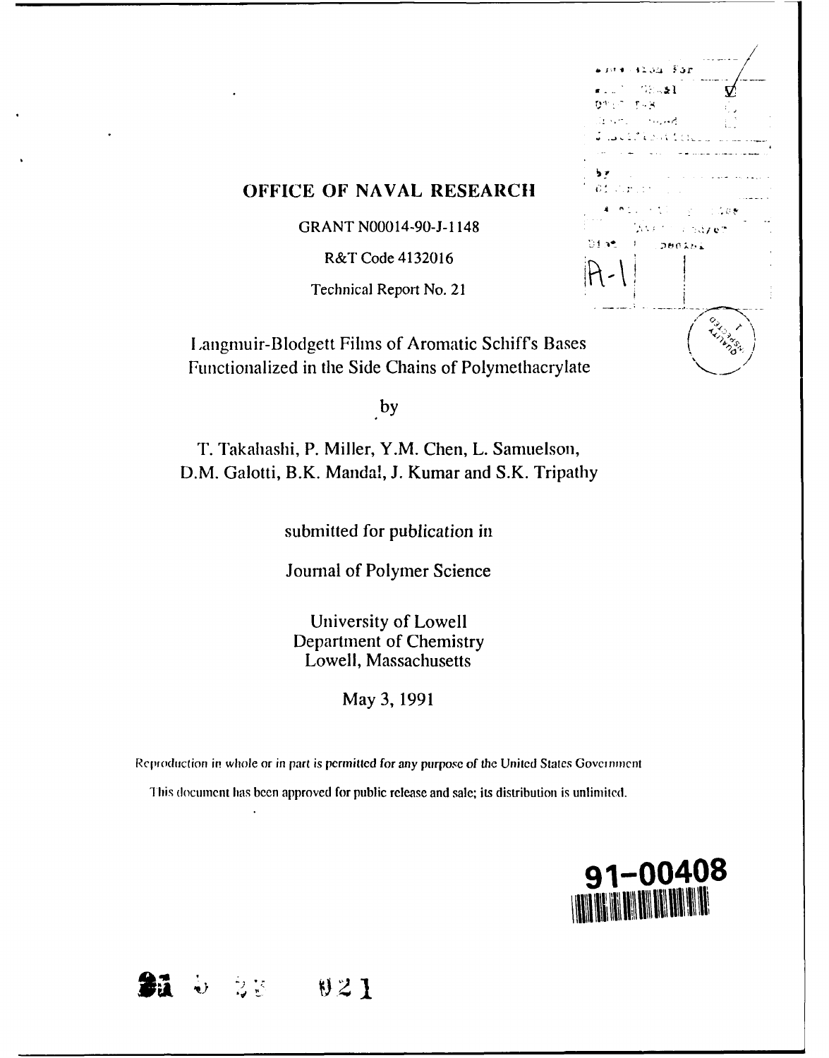| 32.54.55r<br>1.1                           |                |
|--------------------------------------------|----------------|
| $\sim -1$<br>¢                             |                |
| ស្វាក់ទា<br>$\sim$ $\sim$                  |                |
| (g. s., et<br>وأوجعه والمحا                |                |
| $\sim$ $\sim$ $\sim$<br>and the<br>ن دن آن |                |
| י ל                                        |                |
| õ1                                         |                |
|                                            | $-1.5.6$       |
| ANG.                                       | េចជំពូចថា      |
| Diat<br><b>SOBOAMA</b>                     |                |
|                                            |                |
| -                                          |                |
|                                            |                |
|                                            |                |
|                                            |                |
| ðS                                         | <b>CALLAGE</b> |
| ite.                                       |                |

# **OFFICE OF NAVAL RESEARCH**

GRANT N00014-90-J- 1148

R&T Code 4132016

Technical Report No. 21

Langmuir-Blodgett Films of Aromatic Schiff's Base Fuctionalized in the Side Chains of Polymethacrylate

by

T. Takahashi, P. Miller, Y.M. Chen, L. Samuelson, D.M. Galotti, B.K. Mandal, J. Kumar and S.K. Tripathy

submitted for publication in

Journal of Polymer Science

University of Lowell Department of Chemistry Lowell, Massachusetts

May 3, 1991

Reproduction in whole or in part is permitted for any purpose of the United States Government

This document has been approved for public release and sale; its distribution is unlimited.



**Sa 02) 1**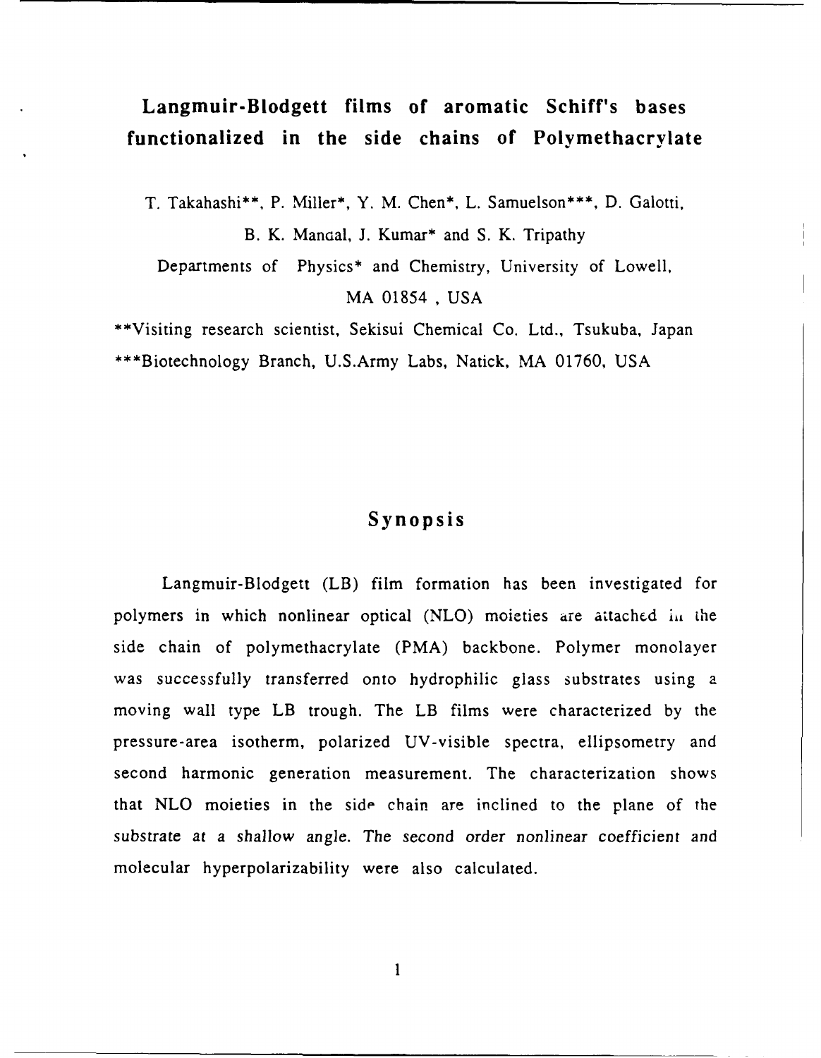# **Langmuir-Blodgett films of aromatic Schiff's bases functionalized in the side chains of Polymethacrylate**

T. Takahashi\*\*, P. Miller\*, Y. M. Chen\*, L. Samuelson\*\*\*, D. Galotti, B. K. Mandal, J. Kumar\* and S. K. Tripathy Departments of Physics\* and Chemistry, University of Lowell, MA 01854 , USA

\*\*Visiting research scientist, Sekisui Chemical Co. Ltd., Tsukuba, Japan \*\*\*Biotechnology Branch, U.S.Army Labs, Natick, MA 01760, USA

# **Synopsis**

Langmuir-Blodgett (LB) film formation has been investigated for polymers in which nonlinear optical (NLO) moieties are attached in the side chain of polymethacrylate (PMA) backbone. Polymer monolayer was successfully transferred onto hydrophilic glass substrates using a moving wall type LB trough. The LB films were characterized by the pressure-area isotherm, polarized UV-visible spectra, ellipsometry and second harmonic generation measurement. The characterization shows that NLO moieties in the side chain are inclined to the plane of the substrate at a shallow angle. The second order nonlinear coefficient and molecular hyperpolarizability were also calculated.

**I**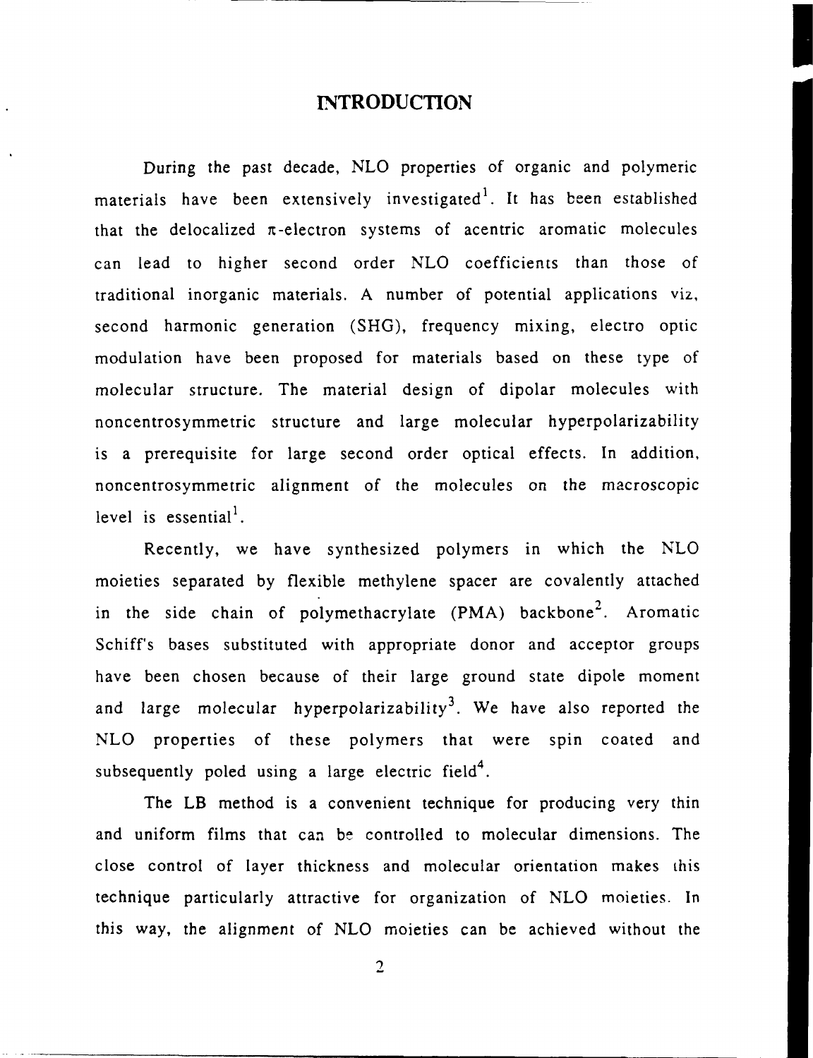### **INTRODUCTION**

During the past decade, **NLO** properties of organic and polymeric materials have been extensively investigated<sup>1</sup>. It has been established that the delocalized  $\pi$ -electron systems of acentric aromatic molecules can lead to higher second order **NLO** coefficients than those of traditional inorganic materials. **A** number of potential applications viz, second harmonic generation **(SHG),** frequency mixing, electro optic modulation have been proposed for materials based on these type of molecular structure. The material design of dipolar molecules with noncentrosymmetric structure and large molecular hyperpolarizability is a prerequisite for large second order optical effects. In addition, noncentrosymmetric alignment of the molecules on the macroscopic level is essential<sup>1</sup>.

Recently, we have synthesized polymers in which the **NLO** moieties separated **by** flexible methylene spacer are covalently attached in the side chain of polymethacrylate (PMA) backbone<sup>2</sup>. Aromatic Schiff's bases substituted with appropriate donor and acceptor groups have been chosen because of their large ground state dipole moment and large molecular hyperpolarizability<sup>3</sup>. We have also reported the **NLO** properties of these polymers that were spin coated and subsequently poled using a large electric field<sup>4</sup>.

The LB method is a convenient technique for producing very thin and uniform films that can be controlled to molecular dimensions. The close control of layer thickness and molecular orientation makes this technique particularly attractive for organization of **NLO** moieties. In this way, the alignment of **NLO** moieties can be achieved without the

 $\overline{2}$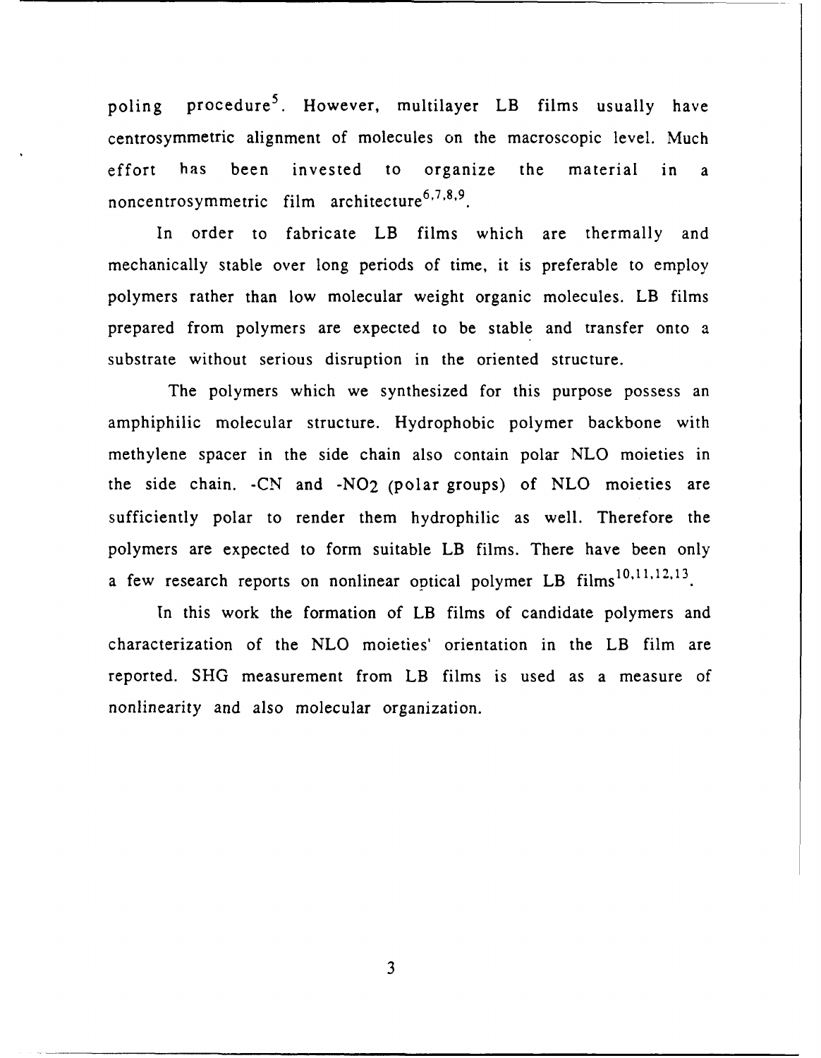poling procedure<sup>5</sup>. However, multilayer LB films usually have centrosymmetric alignment of molecules on the macroscopic level. Much effort has been invested to organize the material in a **6,7,8,9** noncentrosymmetric film architecture

In order to fabricate LB films which are thermally and mechanically stable over long periods of time, it is preferable to employ polymers rather than low molecular weight organic molecules. LB films prepared from polymers are expected to be stable and transfer onto a substrate without serious disruption in the oriented structure.

The polymers which we synthesized for this purpose possess an amphiphilic molecular structure. Hydrophobic polymer backbone with methylene spacer in the side chain also contain polar NLO moieties in the side chain. -CN and -N02 (polar groups) of NLO moieties are sufficiently polar to render them hydrophilic as well. Therefore the polymers are expected to form suitable LB films. There have been only a few research reports on nonlinear optical polymer LB films<sup>10,11,12,13</sup>.

In this work the formation of LB films of candidate polymers and characterization of the NLO moieties' orientation in the LB film are reported. SHG measurement from LB films is used as a measure of nonlinearity and also molecular organization.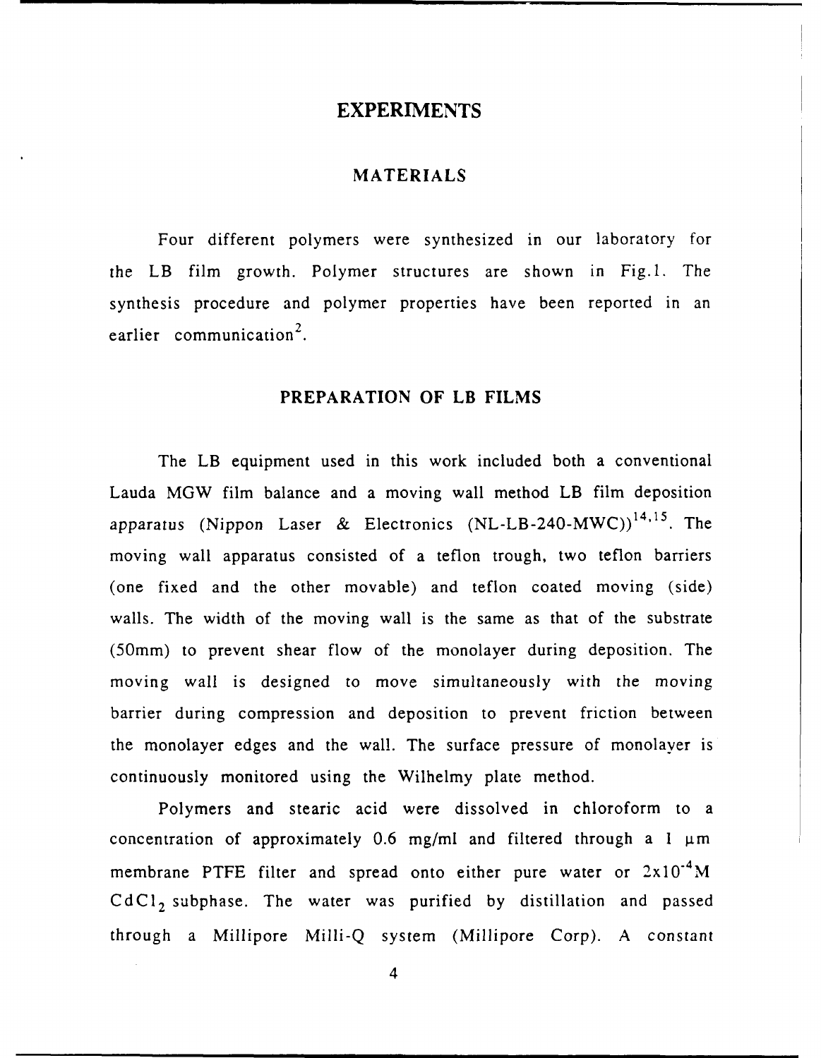#### **EXPERIMENTS**

#### **MATERIALS**

Four different polymers were synthesized in our laboratory for the LB film growth. Polymer structures are shown in Fig.l. The synthesis procedure and polymer properties have been reported in an earlier communication<sup>2</sup>.

#### **PREPARATION OF LB FILMS**

The LB equipment used in this work included both a conventional Lauda MGW film balance and a moving wall method LB film deposition apparatus (Nippon Laser & Electronics  $(NL-LB-240-MWC))^{14,15}$ . The moving wall apparatus consisted of a teflon trough, two teflon barriers (one fixed and the other movable) and teflon coated moving (side) walls. The width of the moving wall is the same as that of the substrate (50mm) to prevent shear flow of the monolayer during deposition. The moving wall is designed to move simultaneously with the moving barrier during compression and deposition to prevent friction between the monolayer edges and the wall. The surface pressure of monolayer is continuously monitored using the Wilhelmy plate method.

Polymers and stearic acid were dissolved in chloroform to a concentration of approximately  $0.6$  mg/ml and filtered through a  $1 \mu m$ membrane PTFE filter and spread onto either pure water or  $2x10^{-4}$ M  $CdCl<sub>2</sub>$  subphase. The water was purified by distillation and passed through a Millipore Milli-Q system (Millipore Corp). A constant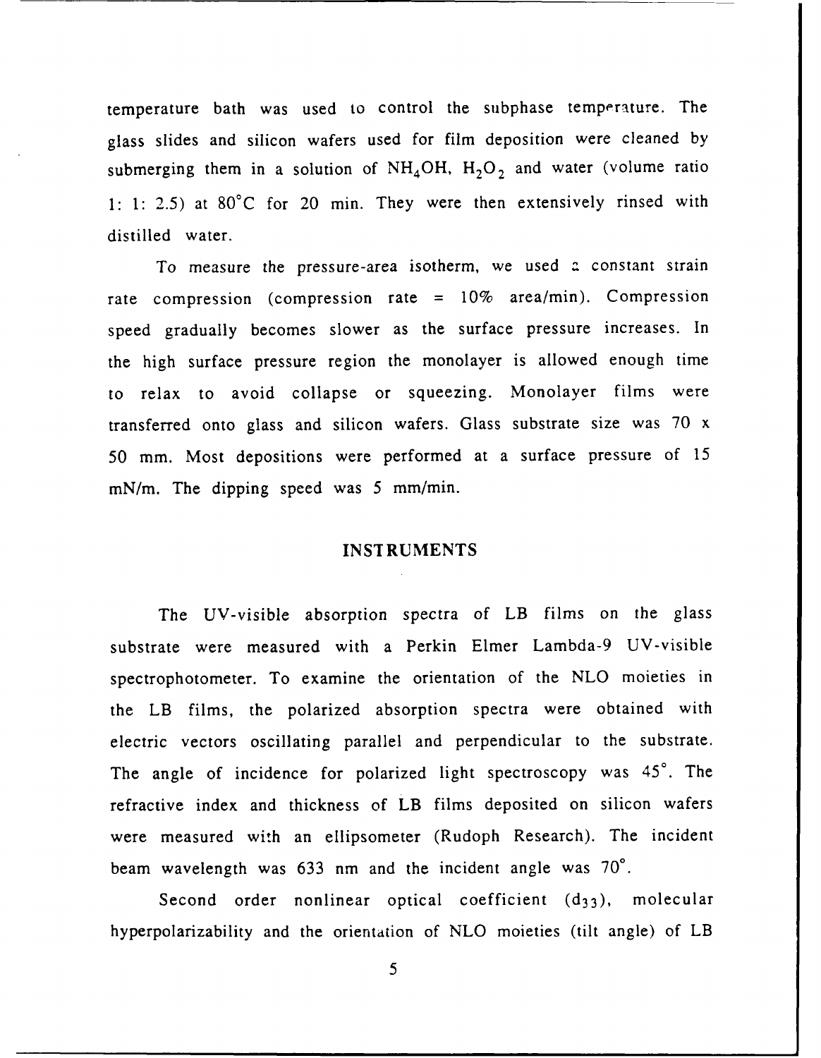temperature bath was used to control the subphase temperature. The glass slides and silicon wafers used for film deposition were cleaned by submerging them in a solution of  $NH<sub>4</sub>OH$ ,  $H<sub>2</sub>O<sub>2</sub>$  and water (volume ratio **1: 1:** 2.5) at 80°C for 20 min. They were then extensively rinsed with distilled water.

To measure the pressure-area isotherm, we used a constant strain rate compression (compression rate = 10% area/min). Compression speed gradually becomes slower as the surface pressure increases. In the high surface pressure region the monolayer is allowed enough time to relax to avoid collapse or squeezing. Monolayer films were transferred onto glass and silicon wafers. Glass substrate size was 70 x 50 mm. Most depositions were performed at a surface pressure of 15 mN/m. The dipping speed was 5 mm/min.

#### INST RUMENTS

The UV-visible absorption spectra of LB films on the glass substrate were measured with a Perkin Elmer Lambda-9 UV-visible spectrophoto meter. To examine the orientation of the NLO moieties in the LB films, the polarized absorption spectra were obtained with electric vectors oscillating parallel and perpendicular to the substrate. The angle of incidence for polarized light spectroscopy was 45°. The refractive index and thickness of LB films deposited on silicon wafers were measured with an ellipsometer (Rudoph Research). The incident beam wavelength was 633 nm and the incident angle was 70°.

Second order nonlinear optical coefficient  $(d_{33})$ , molecular hyperpolarizability and the orientation of NLO moieties (tilt angle) of LB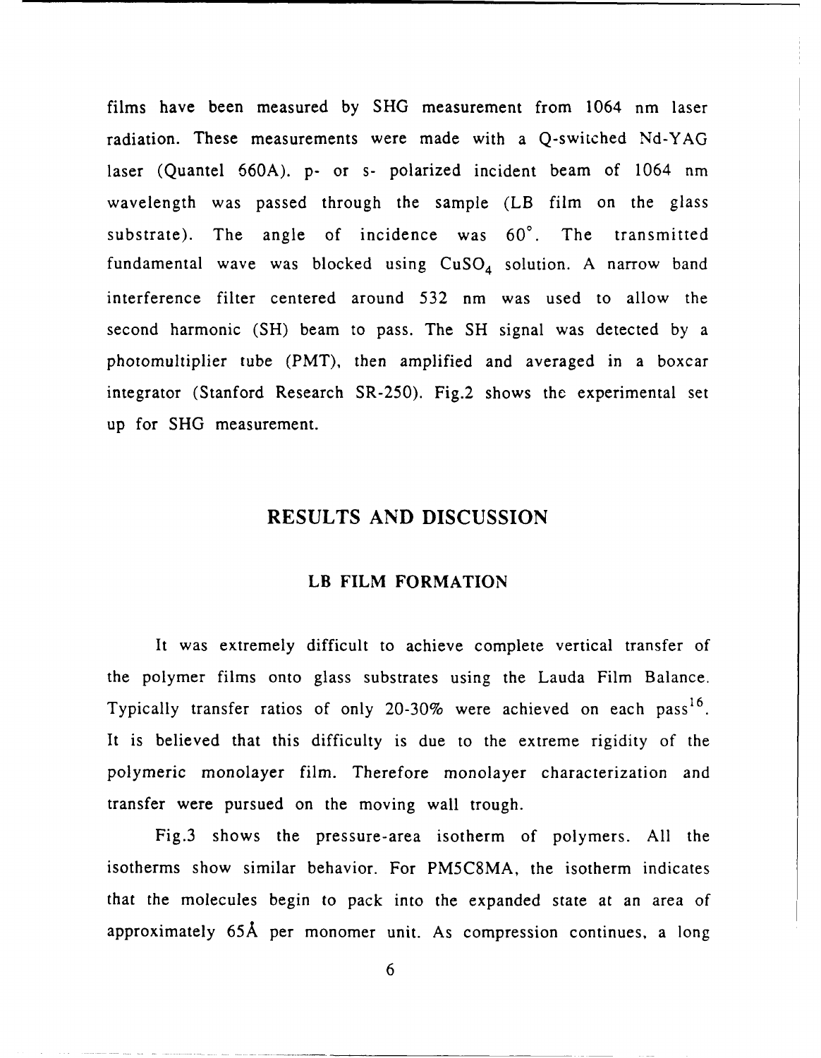films have been measured by SHG measurement from 1064 nm laser radiation. These measurements were made with a Q-switched Nd-YAG laser (Quantel 660A). p- or s- polarized incident beam of 1064 nm wavelength was passed through the sample (LB film on the glass substrate). The angle of incidence was 60'. The transmitted fundamental wave was blocked using  $CuSO<sub>4</sub>$  solution. A narrow band interference filter centered around 532 nm was used to allow the second harmonic (SH) beam to pass. The **SH** signal was detected by a photomultiplier tube (PMT), then amplified and averaged in a boxcar integrator (Stanford Research SR-250). Fig.2 shows the experimental set up for SHG measurement.

# **RESULTS AND DISCUSSION**

#### LB FILM FORMATION

It was extremely difficult to achieve complete vertical transfer of the polymer films onto glass substrates using the Lauda Film Balance. Typically transfer ratios of only 20-30% were achieved on each pass<sup>16</sup>. It is believed that this difficulty is due to the extreme rigidity of the polymeric monolayer film. Therefore monolayer characterization and transfer were pursued on the moving wall trough.

Fig.3 shows the pressure-area isotherm of polymers. All the isotherms show similar behavior. For PM5C8MA, the isotherm indicates that the molecules begin to pack into the expanded state at an area of approximately **65A** per monomer unit. As compression continues, a long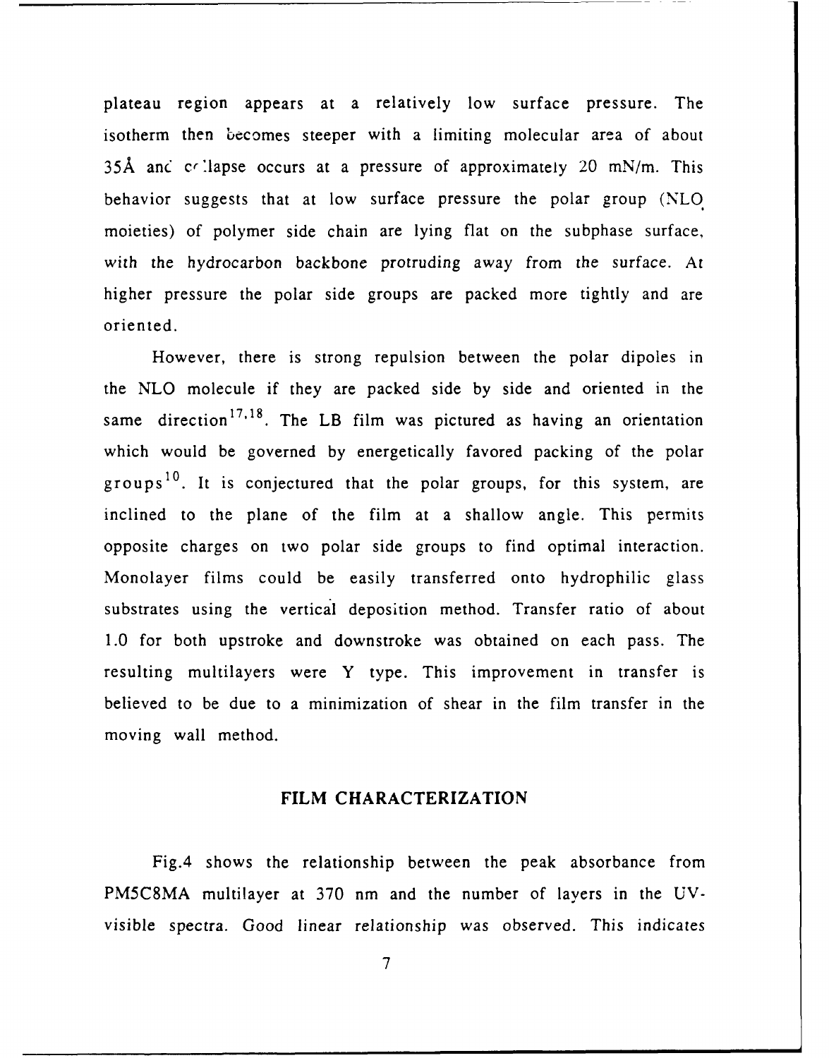plateau region appears at a relatively low surface pressure. The isotherm then becomes steeper with a limiting molecular area of about 35Å and collapse occurs at a pressure of approximately 20 mN/m. This behavior suggests that at low surface pressure the polar group *(NLO.* moieties) of polymer side chain are lying flat on the subphase surface, with the hydrocarbon backbone protruding away from the surface. At higher pressure the polar side groups are packed more tightly and are oriented.

However, there is strong repulsion between the polar dipoles in the NLO molecule if they are packed side by side and oriented in the same direction<sup>17,18</sup>. The LB film was pictured as having an orientation which would be governed by energetically favored packing of the polar groups<sup>10</sup>. It is conjectured that the polar groups, for this system, are inclined to the plane of the film at a shallow angle. This permits opposite charges on two polar side groups to find optimal interaction. Monolayer films could be easily transferred onto hydrophilic glass substrates using the vertical deposition method. Transfer ratio of about 1.0 for both upstroke and downstroke was obtained on each pass. The resulting multilayers were Y type. This improvement in transfer is believed to be due to a minimization of shear in the film transfer in the moving wall method.

#### FILM CHARACTERIZATION

Fig.4 shows the relationship between the peak absorbance from PM5C8MA multilayer at 370 nm and the number of layers in the UVvisible spectra. Good linear relationship was observed. This indicates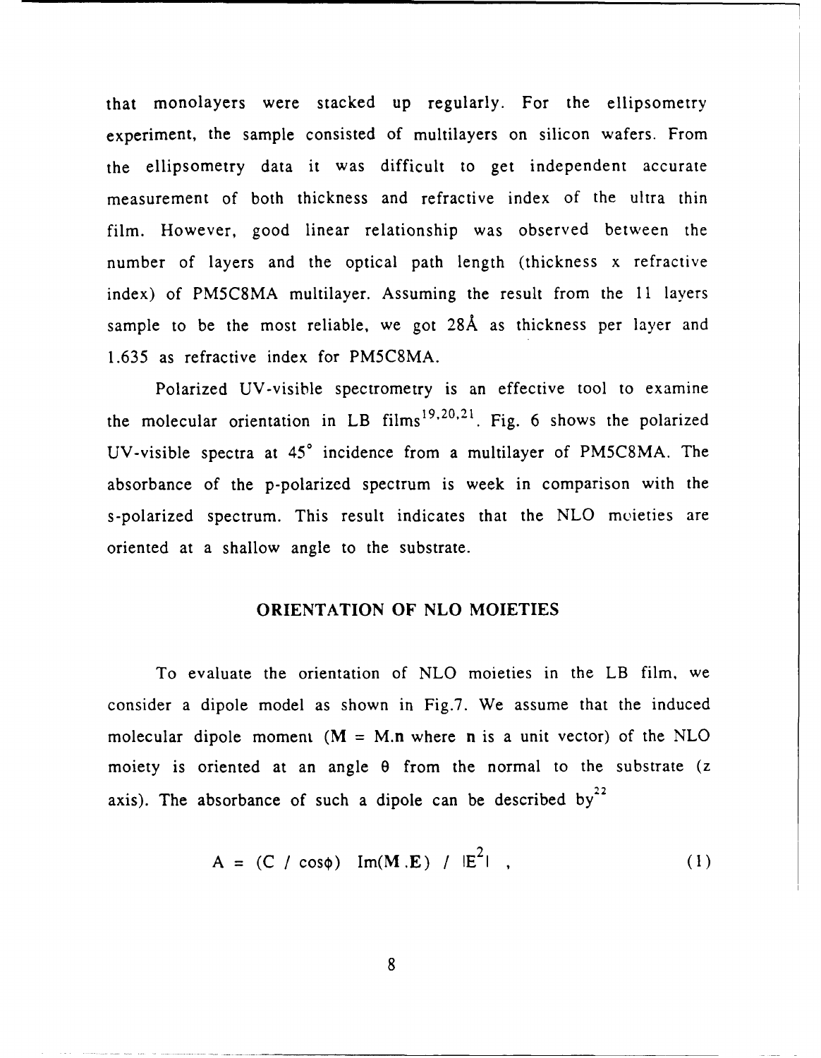that monolayers were stacked up regularly. For the ellipsometry experiment, the sample consisted of multilayers on silicon wafers. From the ellipsometry data it was difficult to get independent accurate measurement of both thickness and refractive index of the ultra thin film. However, good linear relationship was observed between the number of layers and the optical path length (thickness x refractive index) of PM5C8MA multilayer. Assuming the result from the 11 layers sample to be the most reliable, we got **28A** as thickness per layer and 1.635 as refractive index for PM5C8MA.

Polarized UV-visible spectrometry is an effective tool to examine the molecular orientation in LB films<sup>19,20,21</sup>. Fig. 6 shows the polarized UV-visible spectra at **450** incidence from a multilayer of PM5C8MA. The absorbance of the p-polarized spectrum is week in comparison with the s-polarized spectrum. This result indicates that the NLO moieties are oriented at a shallow angle to the substrate.

#### ORIENTATION **OF NLO** MOIETIES

To evaluate the orientation of NLO moieties in the LB film, we consider a dipole model as shown in Fig.7. We assume that the induced molecular dipole moment  $(M = M.n$  where n is a unit vector) of the NLO moiety is oriented at an angle **0** from the normal to the substrate (z axis). The absorbance of such a dipole can be described by<sup>22</sup>

$$
A = (C / cos \phi) Im(M.E) / |E^{2}| , \qquad (1)
$$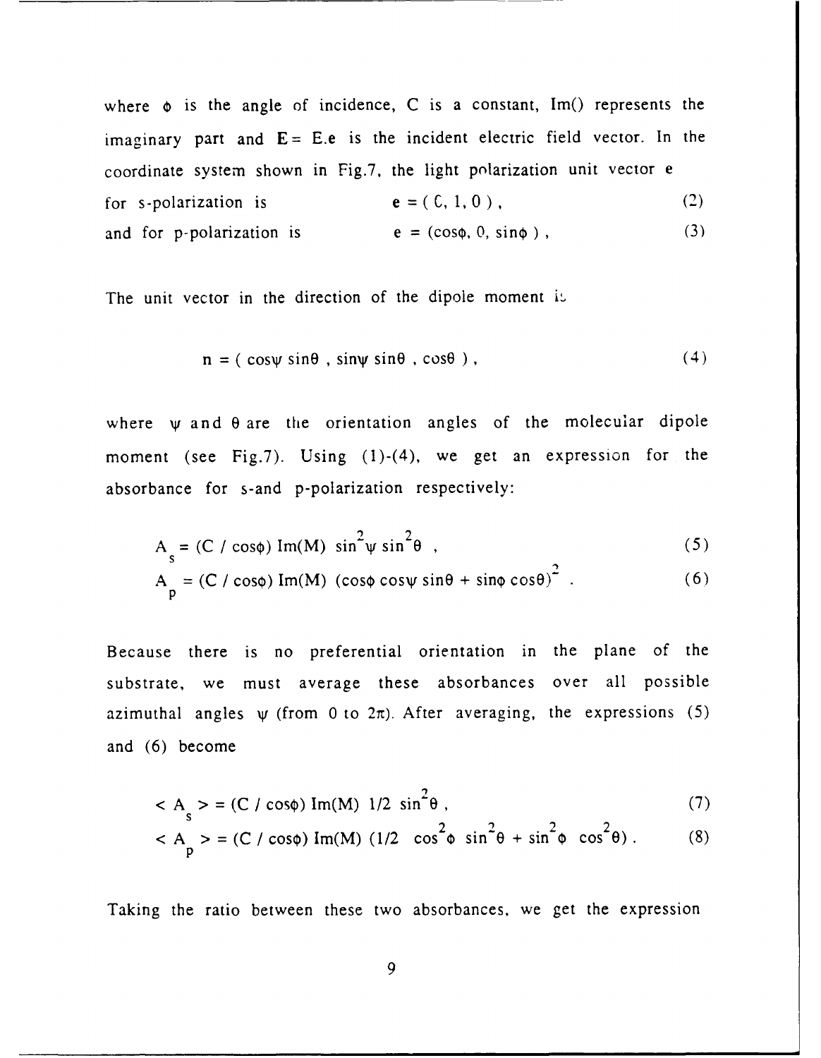where  $\phi$  is the angle of incidence, C is a constant, Im() represents the imaginary part and  $E = E.e$  is the incident electric field vector. In the coordinate system shown in Fig.7, the light polarization unit vector e for s-polarization is  $e = (0, 1, 0)$ , (2) and for p-polarization is  $e = (\cos \phi, 0, \sin \phi)$ , (3)

The unit vector in the direction of the dipole moment is

$$
\mathbf{n} = (\cos\psi \sin\theta, \sin\psi \sin\theta, \cos\theta), \qquad (4)
$$

where  $\psi$  and  $\theta$  are the orientation angles of the molecular dipole moment (see Fig.7). Using (1)-(4), we get an expression for the absorbance for s-and p-polarization respectively:

$$
A_s = (C / \cos \phi) Im(M) \sin^2 \psi \sin^2 \theta
$$
 (5)

$$
A_p = (C / \cos\phi) Im(M) ( \cos\phi \cos\psi \sin\theta + \sin\phi \cos\theta)^2
$$
 (6)

Because there is no preferential orientation in the plane of the substrate, we must average these absorbances over all possible azimuthal angles  $\psi$  (from 0 to  $2\pi$ ). After averaging, the expressions (5) and (6) become

$$
< A > = (C / cos \phi) Im(M) 1/2 sin2 \theta,
$$
 (7)

$$
< A_p > = (C / \cos\phi) \operatorname{Im}(M) (1/2 \cos^2\phi \sin^2\theta + \sin^2\phi \cos^2\theta). \tag{8}
$$

Taking the ratio between these two absorbances, we get the expression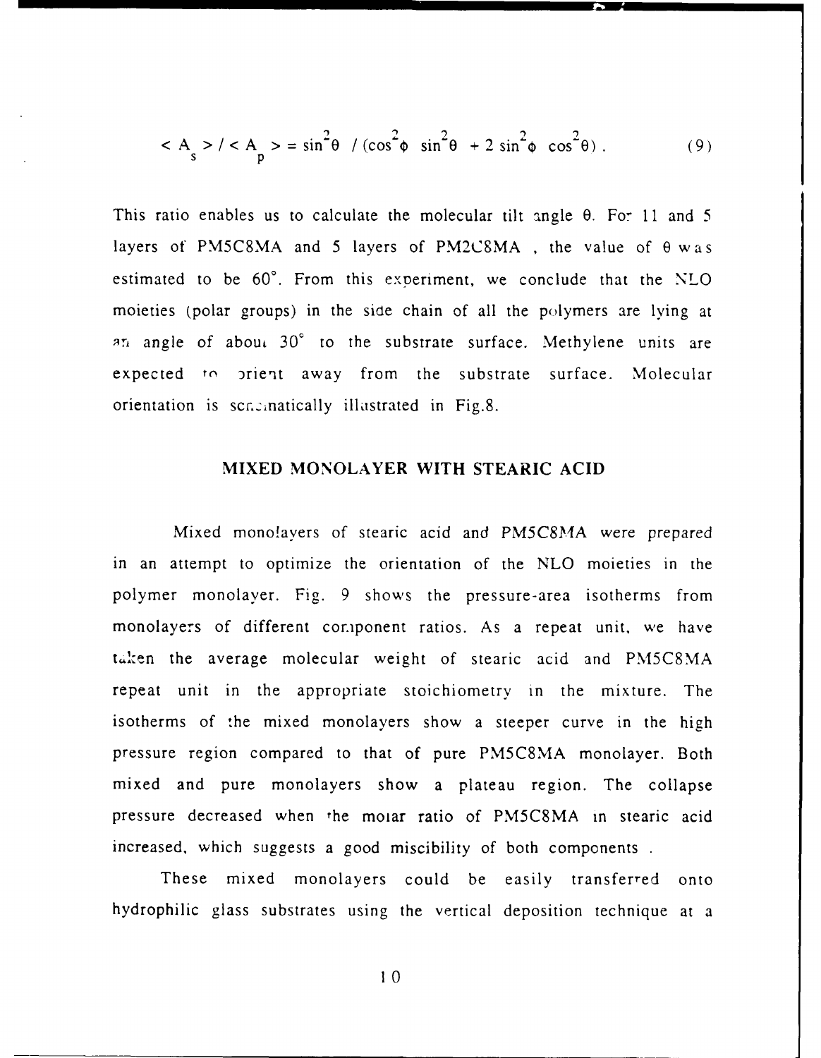$$
\langle A_{s} \rangle / \langle A_{p} \rangle = \sin^{2} \theta / (\cos^{2} \phi \sin^{2} \theta + 2 \sin^{2} \phi \cos^{2} \theta). \tag{9}
$$

This ratio enables us to calculate the molecular tilt angle  $\theta$ . For 11 and 5 layers of PM5C8MA and 5 layers of PM2CSMA , the value of **0** was estimated to be  $60^\circ$ . From this experiment, we conclude that the NLO moieties (polar groups) in the side chain of all the polymers are lying at qn angle of abou. **30'** to the substrate surface. Methylene units are expected to orient away from the substrate surface. Molecular orientation is scr. anatically illustrated in Fig.8.

#### **MIXED** MONOLAYER WITH **STEARIC ACID**

Mixed mono!avers of stearic acid and PM5C8MA were prepared in an attempt to optimize the orientation of the NLO moieties in the polymer monolayer. Fig. 9 shows the pressure-area isotherms from monolayers of different component ratios. As a repeat unit, we have taken the average molecular weight of stearic acid and PM5C8MA repeat unit in the appropriate stoichiometry in the mixture. The isotherms of :he mixed monolayers show a steeper curve in the high pressure region compared to that of pure PM5C8MA monolayer. Both mixed and pure monolayers show a plateau region. The collapse pressure decreased when the moiar ratio of PM5C8MA in stearic acid increased, which suggests a good miscibility of both components.

These mixed monolayers could be easily transferred onto hydrophilic glass substrates using the vertical deposition technique at a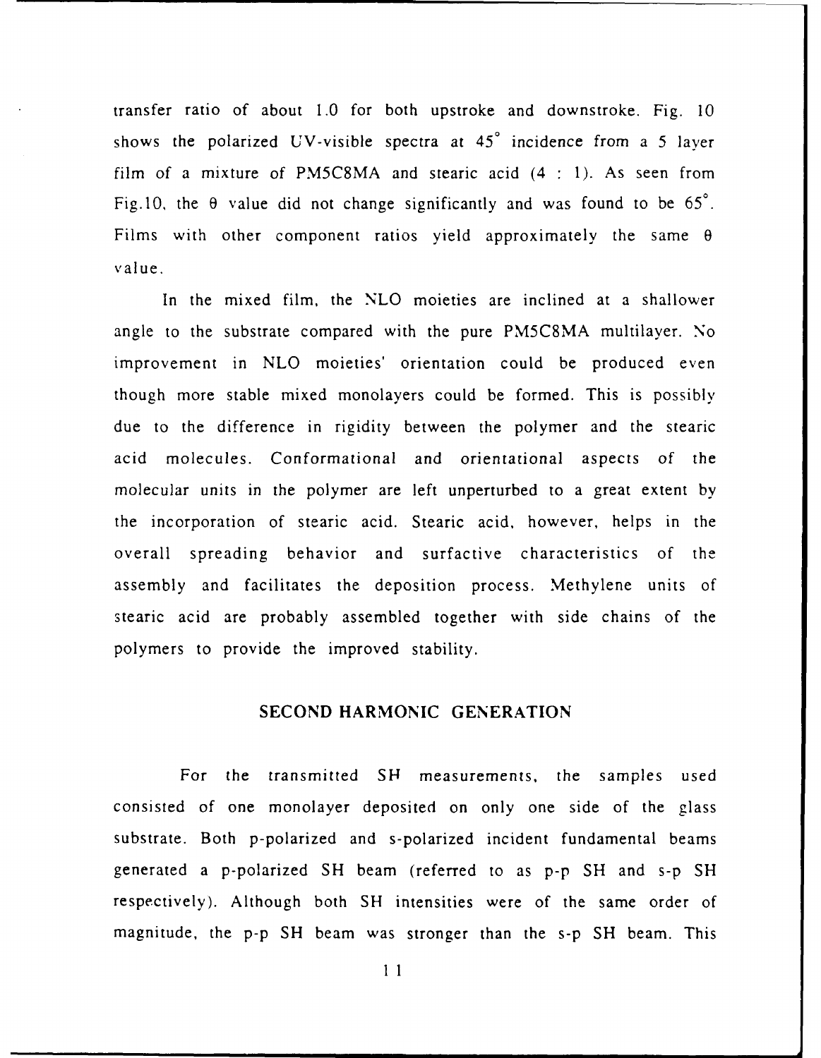transfer ratio of about 1.0 for both upstroke and downstroke. Fig. 10 shows the polarized UV-visible spectra at **450** incidence from a 5 layer film of a mixture of PM5C8MA and stearic acid (4 **:** 1). As seen from Fig.10, the  $\theta$  value did not change significantly and was found to be  $65^\circ$ . Films with other component ratios yield approximately the same **0** value.

In the mixed film, the NLO moieties are inclined at a shallower angle to the substrate compared with the pure PM5C8MA multilayer. No improvement in NLO moieties' orientation could be produced even though more stable mixed monolayers could be formed. This is possibly due to the difference in rigidity between the polymer and the stearic acid molecules. Conformational and orientational aspects of the molecular units in the polymer are left unperturbed to a great extent by the incorporation of stearic acid. Stearic acid, however, helps in the overall spreading behavior and surfactive characteristics of the assembly and facilitates the deposition process. Methylene units of stearic acid are probably assembled together with side chains of the polymers to provide the improved stability.

## **SECOND** HARMONIC GENERATION

For the transmitted **SH** measurements, the samples used consisted of one monolayer deposited on only one side of the glass substrate. Both p-polarized and s-polarized incident fundamental beams generated a p-polarized SH beam (referred to as p-p SH and s-p SH respectively). Although both SH intensities were of the same order of magnitude, the p-p SH beam was stronger than the s-p SH beam. This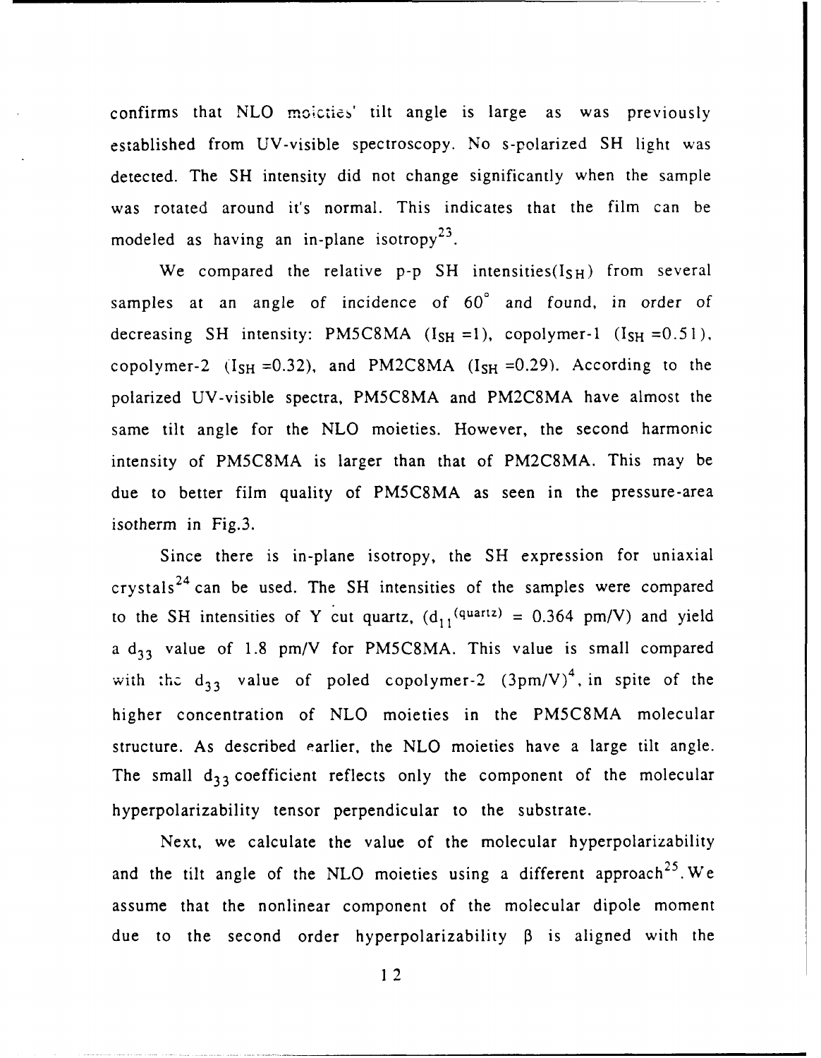confirms that NLO moicties' tilt angle is large as was previously established from UV-visible spectroscopy. No s-polarized **SH** light was detected. The **SH** intensity did not change significantly when the sample was rotated around it's normal. This indicates that the film can be **<sup>23</sup>** modeled as having an in-plane isotropy

We compared the relative p-p SH intensities( $I_{SH}$ ) from several samples at an angle of incidence of  $60^\circ$  and found, in order of decreasing SH intensity: PM5C8MA  $(I_{SH} = 1)$ , copolymer-1  $(I_{SH} = 0.51)$ , copolymer-2  $(I_{SH} = 0.32)$ , and PM2C8MA  $(I_{SH} = 0.29)$ . According to the polarized UV-visible spectra, PM5C8MA and PM2C8MA have almost the same tilt angle for the NLO moieties. However, the second harmonic intensity of PM5C8MA is larger than that of PM2C8MA. This may be due to better film quality of PM5C8MA as seen in the pressure-area isotherm in Fig.3.

Since there is in-plane isotropy, the **SH** expression for uniaxial crystals 24 can be used. The **SH** intensities of the samples were compared to the SH intensities of Y cut quartz,  $(d_{11}^{(quartz)} = 0.364$  pm/V) and yield a  $d_{33}$  value of 1.8 pm/V for PM5C8MA. This value is small compared with the d<sub>33</sub> value of poled copolymer-2  $(3pm/V)^4$ , in spite of the higher concentration of NLO moieties in the PM5C8MA molecular structure. As described earlier, the NLO moieties have a large tilt angle. The small  $d_{33}$  coefficient reflects only the component of the molecular hyperpolarizability tensor perpendicular to the substrate.

Next, we calculate the value of the molecular hyperpolarizability and the tilt angle of the NLO moieties using a different approach<sup>25</sup>. We assume that the nonlinear component of the molecular dipole moment due to the second order hyperpolarizability **3** is aligned with the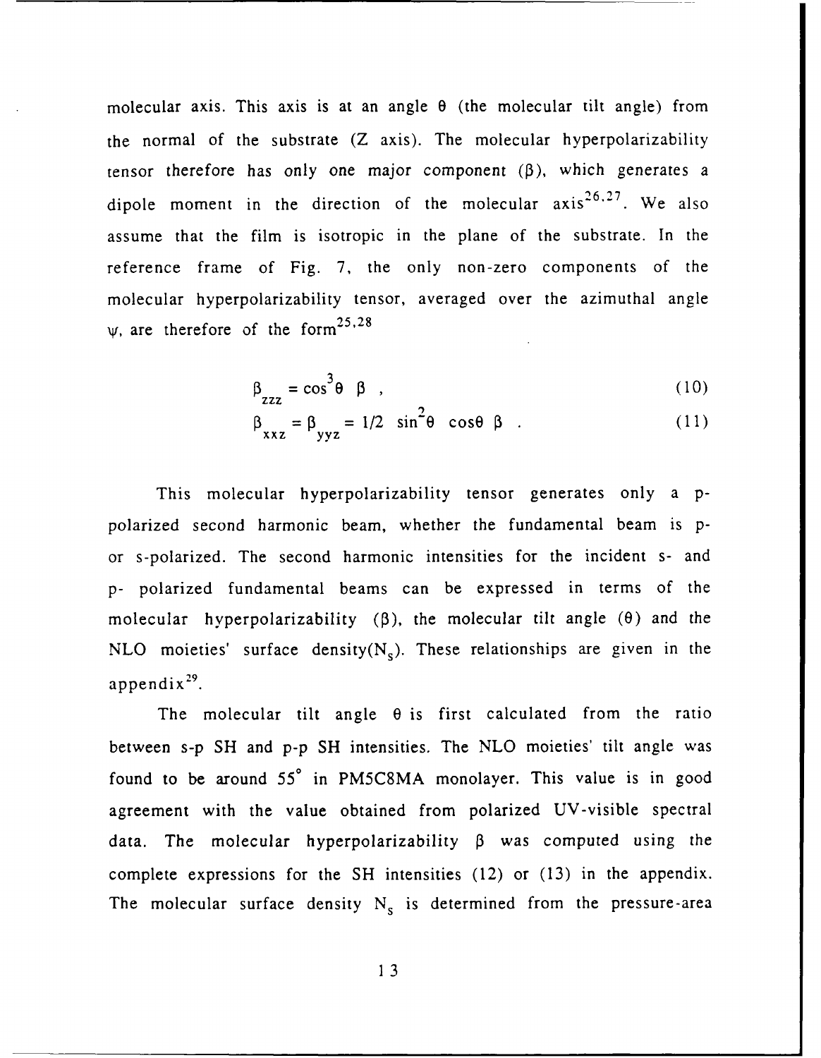molecular axis. This axis is at an angle  $\theta$  (the molecular tilt angle) from the normal of the substrate (Z axis). The molecular hyperpolarizability tensor therefore has only one major component  $(\beta)$ , which generates a dipole moment in the direction of the molecular  $axis^{26.27}$ . We also assume that the film is isotropic in the plane of the substrate. In the reference frame of Fig. 7, the only non-zero components of the molecular hyperpolarizability tensor, averaged over the azimuthal angle  $\psi$ , are therefore of the form<sup>25,28</sup>

$$
\beta_{\text{ZZZ}} = \cos^3 \theta \quad \beta \quad , \tag{10}
$$

$$
\beta_{xxx} = \beta_{yyz} = 1/2 \sin^2 \theta \cos \theta \beta
$$
 (11)

This molecular hyperpolarizability tensor generates only a **p**polarized second harmonic beam, whether the fundamental beam is por s-polarized. The second harmonic intensities for the incident s- and p- polarized fundamental beams can be expressed in terms of the molecular hyperpolarizability (3), the molecular tilt angle **(0)** and the NLO moieties' surface density( $N_s$ ). These relationships are given in the appendix $29$ .

The molecular tilt angle  $\theta$  is first calculated from the ratio between s-p SH and p-p SH intensities. The NLO moieties' tilt angle was found to be around 55° in PM5C8MA monolayer. This value is in good agreement with the value obtained from polarized UV-visible spectral data. The molecular hyperpolarizability  $\beta$  was computed using the complete expressions for the **SH** intensities (12) or (13) in the appendix. The molecular surface density  $N_s$  is determined from the pressure-area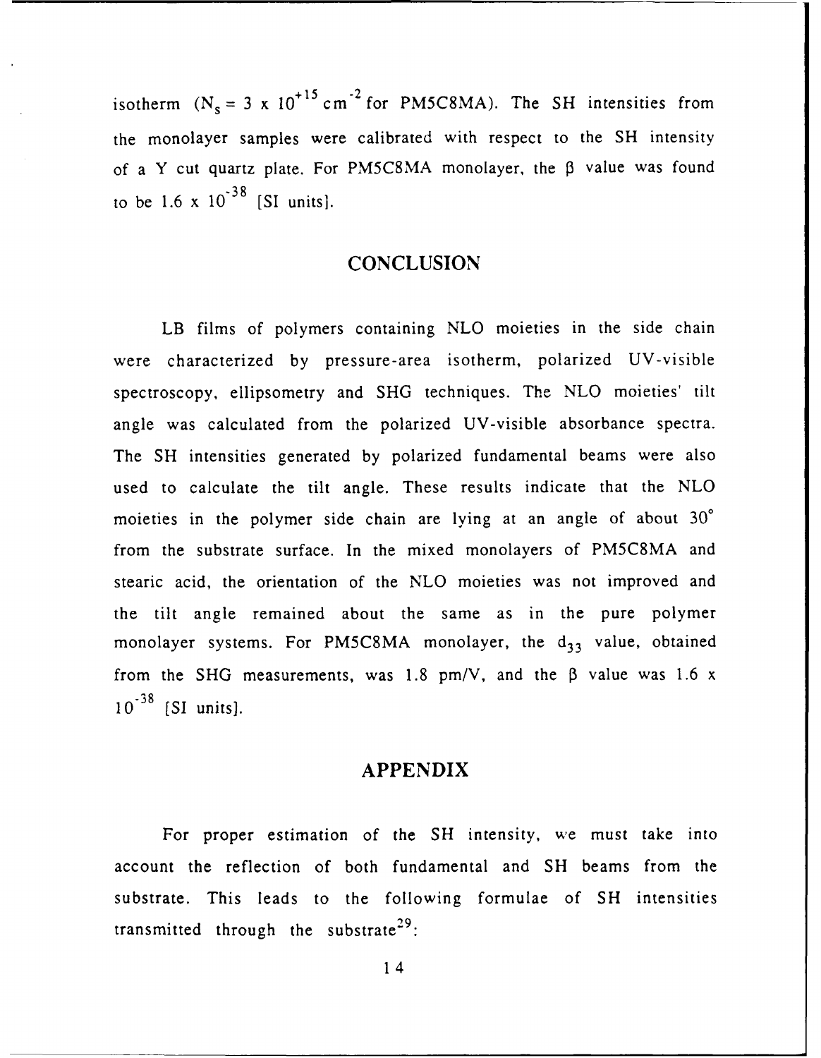isotherm  $(N_s = 3 \times 10^{+15} \text{ cm}^{-2} \text{ for PM5C8MA})$ . The SH intensities from the monolayer samples were calibrated with respect to the **SH** intensity of a Y cut quartz plate. For PM5C8MA monolayer, the **3** value was found  $-38$ to be 1.6 x **10** [SI units].

# **CONCLUSION**

LB films of polymers containing NLO moieties in the side chain were characterized by pressure-area isotherm, polarized UV-visible spectroscopy, ellipsometry and SHG techniques. The NLO moieties' tilt angle was calculated from the polarized UV-visible absorbance spectra. The **SH** intensities generated by polarized fundamental beams were also used to calculate the tilt angle. These results indicate that the NLO moieties in the polymer side chain are lying at an angle of about  $30^{\circ}$ from the substrate surface. In the mixed monolayers of PM5C8MA and stearic acid, the orientation of the NLO moieties was not improved and the tilt angle remained about the same as in the pure polymer monolayer systems. For PM5C8MA monolayer, the  $d_{33}$  value, obtained from the SHG measurements, was 1.8 pm/V, and the  $\beta$  value was 1.6 x **10.38** [SI units].

### **APPENDIX**

For proper estimation of the **SH** intensity, we must take into account the reflection of both fundamental and **SH** beams from the substrate. This leads to the following formulae of **SH** intensities transmitted through the substrate<sup>29</sup>: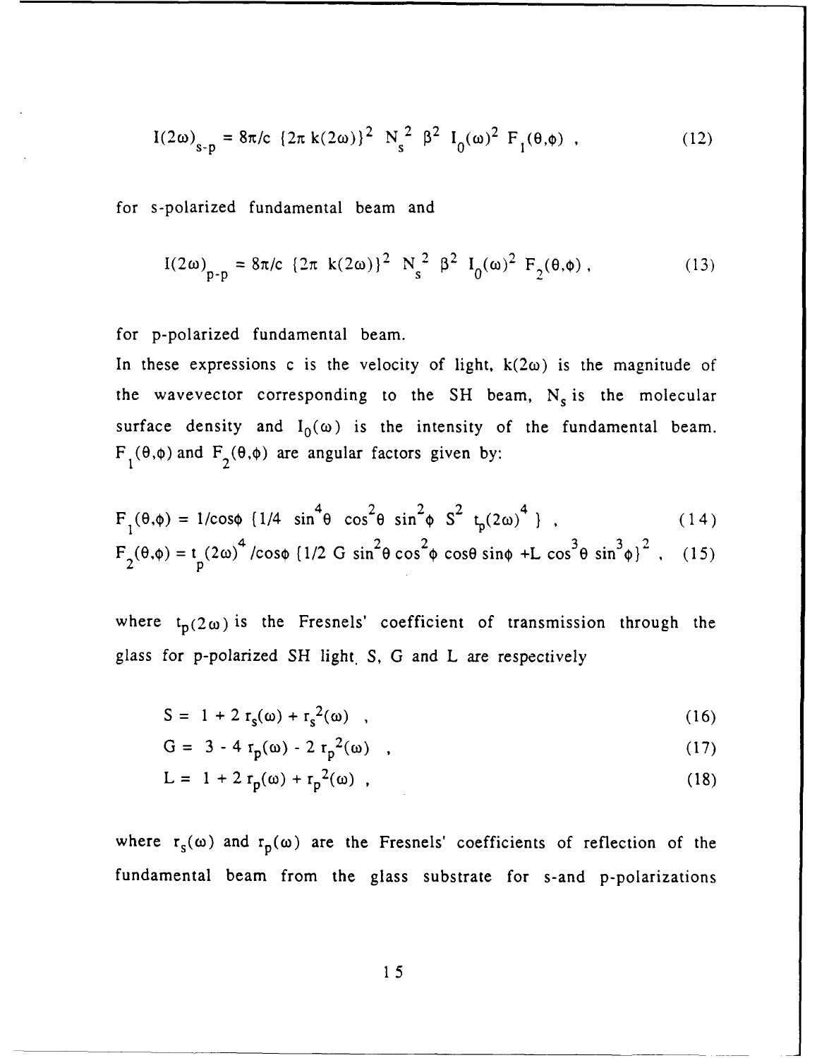$$
I(2\omega)_{s-p} = 8\pi/c \left\{ 2\pi k(2\omega) \right\}^2 N_s^2 \beta^2 I_0(\omega)^2 F_1(\theta, \phi) , \qquad (12)
$$

for s-polarized fundamental beam and

$$
I(2\omega)_{p-p} = 8\pi/c \{2\pi \ k(2\omega)\}^2 \ N_s^2 \ \beta^2 \ I_0(\omega)^2 \ F_2(\theta, \phi) \,, \tag{13}
$$

for p-polarized fundamental beam.

In these expressions c is the velocity of light,  $k(2\omega)$  is the magnitude of the wavevector corresponding to the SH beam, N<sub>s</sub> is the molecular surface density and  $I_0(\omega)$  is the intensity of the fundamental beam.  $F_1(\theta,\phi)$  and  $F_2(\theta,\phi)$  are angular factors given by:

$$
F_1(\theta,\phi) = 1/\cos\phi \left(1/4 \sin^4\theta \cos^2\theta \sin^2\phi \right) S^2 t_p(2\omega)^4 \quad , \tag{14}
$$

$$
F_2(\theta, \phi) = t_p (2\omega)^4 / \cos\phi \left(1/2 \text{ G } \sin^2\theta \cos^2\phi \cos\theta \sin\phi + L \cos^3\theta \sin^3\phi\right)^2, \quad (15)
$$

where  $t_p(2\omega)$  is the Fresnels' coefficient of transmission through the glass for p-polarized SH light. S, G and L are respectively

$$
S = 1 + 2 rs(\omega) + rs2(\omega) , \qquad (16)
$$

$$
G = 3 - 4 r_p(\omega) - 2 r_p^2(\omega) , \qquad (17)
$$

$$
L = 1 + 2 r_p(\omega) + r_p^2(\omega) , \qquad (18)
$$

where  $r_s(\omega)$  and  $r_p(\omega)$  are the Fresnels' coefficients of reflection of the fundamental beam from the glass substrate for s-and p-polarizations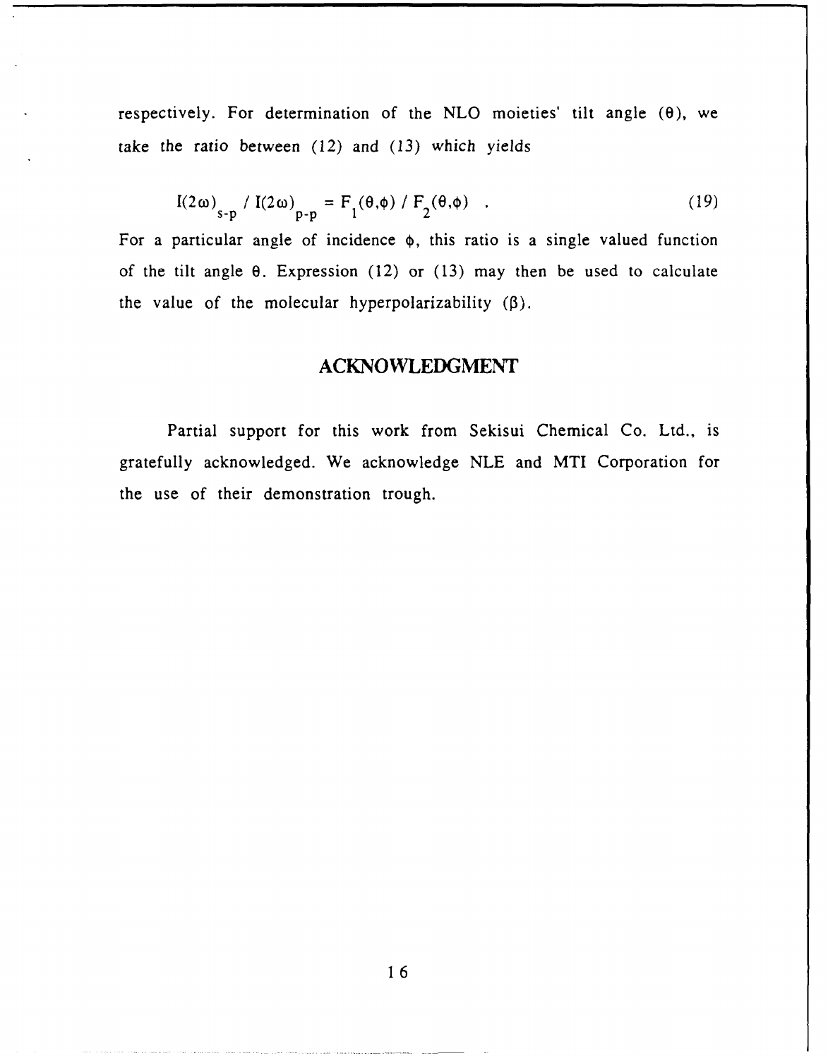respectively. For determination of the NLO moieties' tilt angle  $(\theta)$ , we take the ratio between (12) and (13) which yields

$$
I(2\omega)_{s-p} / I(2\omega)_{p-p} = F_1(\theta, \phi) / F_2(\theta, \phi) .
$$
 (19)

For a particular angle of incidence **0,** this ratio is a single valued function of the tilt angle **0.** Expression (12) or (13) may then be used to calculate the value of the molecular hyperpolarizability  $(\beta)$ .

# **ACKNOWLEDGMENT**

Partial support for this work from Sekisui Chemical Co. Ltd., is gratefully acknowledged. We acknowledge **NLE** and MTI Corporation for the use of their demonstration trough.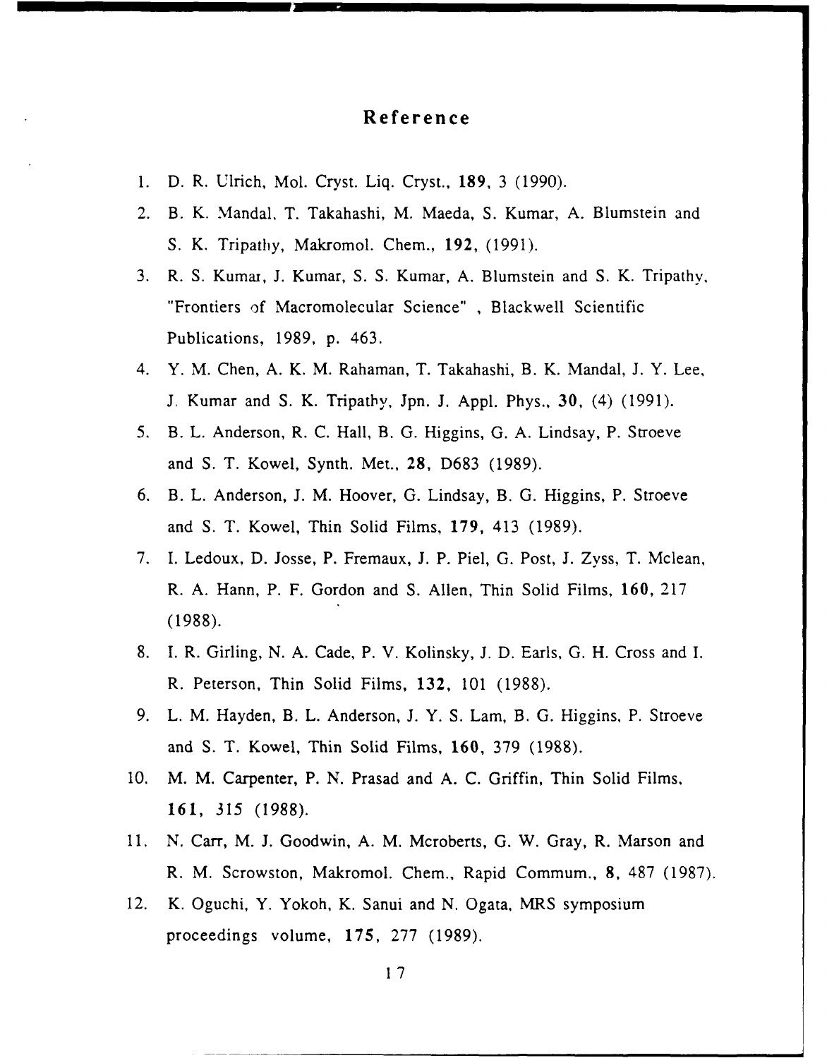# **Reference**

- 1. D. R. Ulrich, Mol. Cryst. Liq. Cryst., **189,** 3 (1990).
- 2. B. K. Mandal. T. Takahashi, M. Maeda, S. Kumar, A. Blumstein and S. K. Tripathy, Makromol. Chem., 192, (1991).
- 3. R. S. Kumai, J. Kumar, S. S. Kumar, A. Blumstein and S. K. Tripathy, "Frontiers of Macromolecular Science" , Blackwell Scientific Publications, 1989, p. 463.
- 4. Y. M. Chen, A. K. M. Rahaman, T. Takahashi, B. K. Mandal, J. Y. Lee, J. Kumar and S. K. Tripatby, Jpn. J. Appl. Phys., **30,** (4) (1991).
- 5. B. L. Anderson, R. C. Hall, B. G. Higgins, G. A. Lindsay, P. Stroeve and S. T. Kowel, Synth. Met., **28,** D683 (1989).
- 6. B. L. Anderson, J. M. Hoover, G. Lindsay, B. G. Higgins, P. Stroeve and S. T. Kowel, Thin Solid Films, 179, 413 (1989).
- 7. I. Ledoux, D. Josse, P. Fremaux, J. P. Piel, G. Post, J. Zyss, T. Mclean, R. A. Hann, P. F. Gordon and S. Allen, Thin Solid Films, 160, 217 (1988).
- 8. I. R. Girling, N. A. Cade, P. V. Kolinsky, J. D. Earls, G. H. Cross and I. R. Peterson, Thin Solid Films, 132, 101 (1988).
- 9. L. M. Hayden, B. L. Anderson, J. Y. S. Lam, B. G. Higgins, P. Stroeve and S. T. Kowel, Thin Solid Films, **160,** 379 (1988).
- 10. M. M. Carpenter, P. N. Prasad and A. C. Griffin, Thin Solid Films, 161, *315* (1988).
- 11. N. Carr, M. J. Goodwin, A. M. Mcroberts, G. W. Gray, R. Marson and R. M. Scrowston, Makromol. Chem., Rapid Commum., **8,** 487 (1987).
- 12. K. Oguchi, Y. Yokoh, K. Sanui and N. Ogata, MRS symposium proceedings volume, 175, 277 (1989).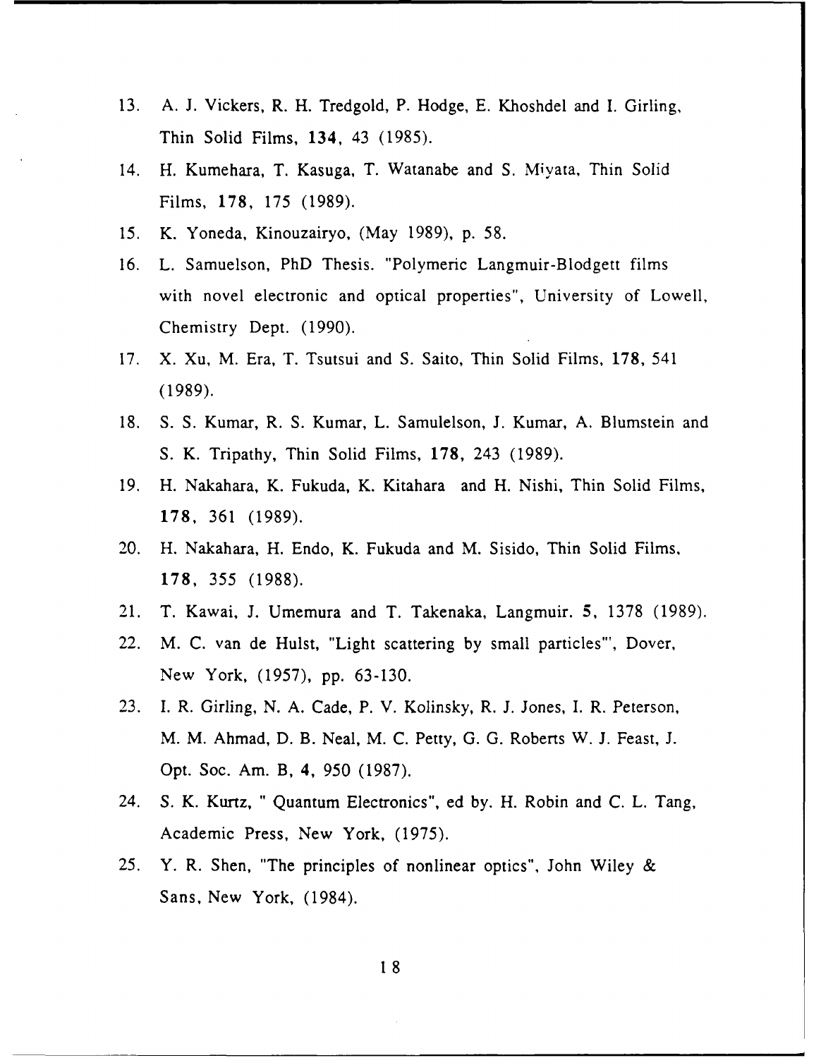- 13. A. J. Vickers, R. H. Tredgold, P. Hodge, E. Khoshdel and I. Girling, Thin Solid Films, 134, 43 (1985).
- 14. H. Kumehara, T. Kasuga, T. Watanabe and S. Miyata, Thin Solid Films, 178, 175 (1989).
- 15. K. Yoneda, Kinouzairyo, (May 1989), p. 58.
- 16. L. Samuelson, PhD Thesis. "Polymeric Langmuir-Blodgett films with novel electronic and optical properties", University of Lowell, Chemistry Dept. (1990).
- 17. X. Xu, M. Era, T. Tsutsui and S. Saito, Thin Solid Films, 178, 541 (1989).
- 18. S. S. Kumar, R. S. Kumar, L. Samulelson, J. Kumar, A. Blumstein and S. K. Tripathy, Thin Solid Films, 178, 243 (1989).
- 19. H. Nakahara, K. Fukuda, K. Kitahara and H. Nishi, Thin Solid Films, 178, 361 (1989).
- 20. H. Nakahara, H. Endo, K. Fukuda and M. Sisido, Thin Solid Films, 178, 355 (1988).
- 21. T. Kawai, J. Umemura and T. Takenaka, Langmuir. 5, 1378 (1989).
- 22. M. C. van de Hulst, "Light scattering by small particles"', Dover, New York, (1957), pp. 63-130.
- 23. I. R. Girling, N. A. Cade, P. V. Kolinsky, R. J. Jones, I. R. Peterson, M. M. Ahmad, D. B. Neal, M. C. Petty, G. G. Roberts W. J. Feast, J. Opt. Soc. Am. B, 4, 950 (1987).
- 24. S. K. Kurtz, " Quantum Electronics", ed by. H. Robin and C. L. Tang, Academic Press, New York, (1975).
- 25. Y. R. Shen, "The principles of nonlinear optics", John Wiley & Sans, New York, (1984).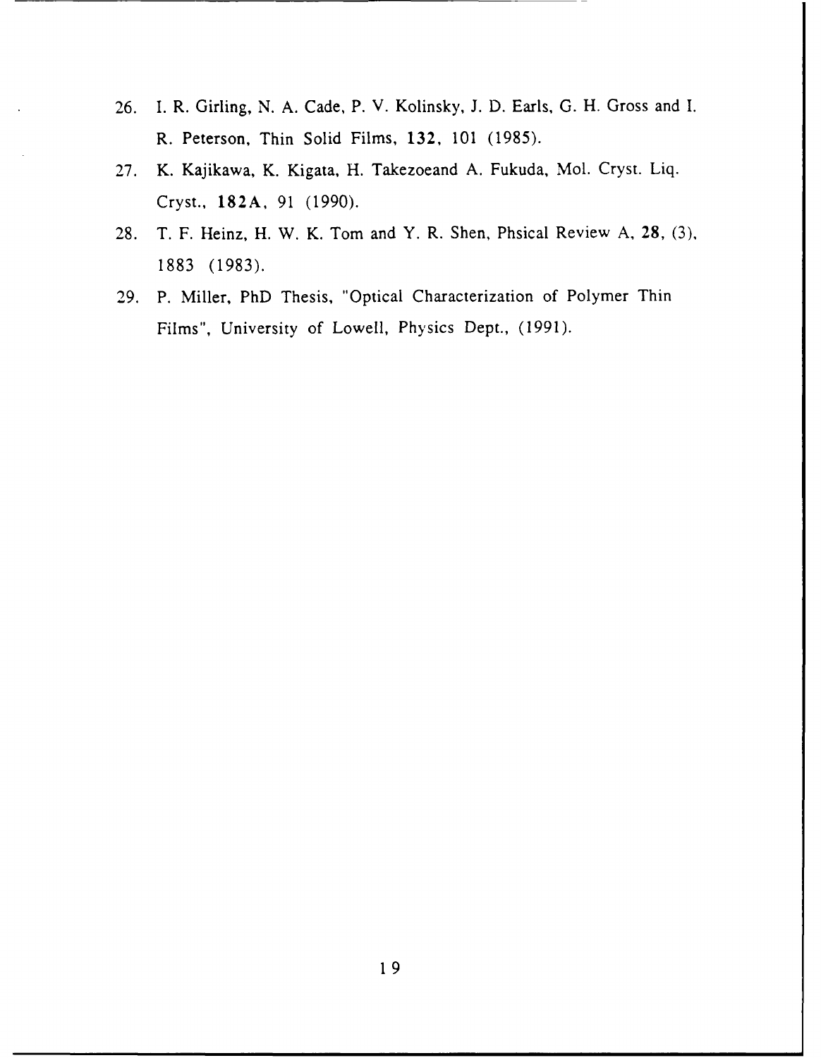- 26. I. R. Girling, N. A. Cade, P. V. Kolinsky, J. D. Earls, G. H. Gross and I. R. Peterson, Thin Solid Films, 132, 101 (1985).
- 27. K. Kajikawa, K. Kigata, H. Takezoeand A. Fukuda, Mol. Cryst. Liq. Cryst., 182A, 91 (1990).
- 28. T. F. Heinz, H. W. K. Tom and Y. R. Shen, Phsical Review A, 28, (3), 1883 (1983).
- 29. P. Miller, PhD Thesis, "Optical Characterization of Polymer Thin Films", University of Lowell, Physics Dept., (1991).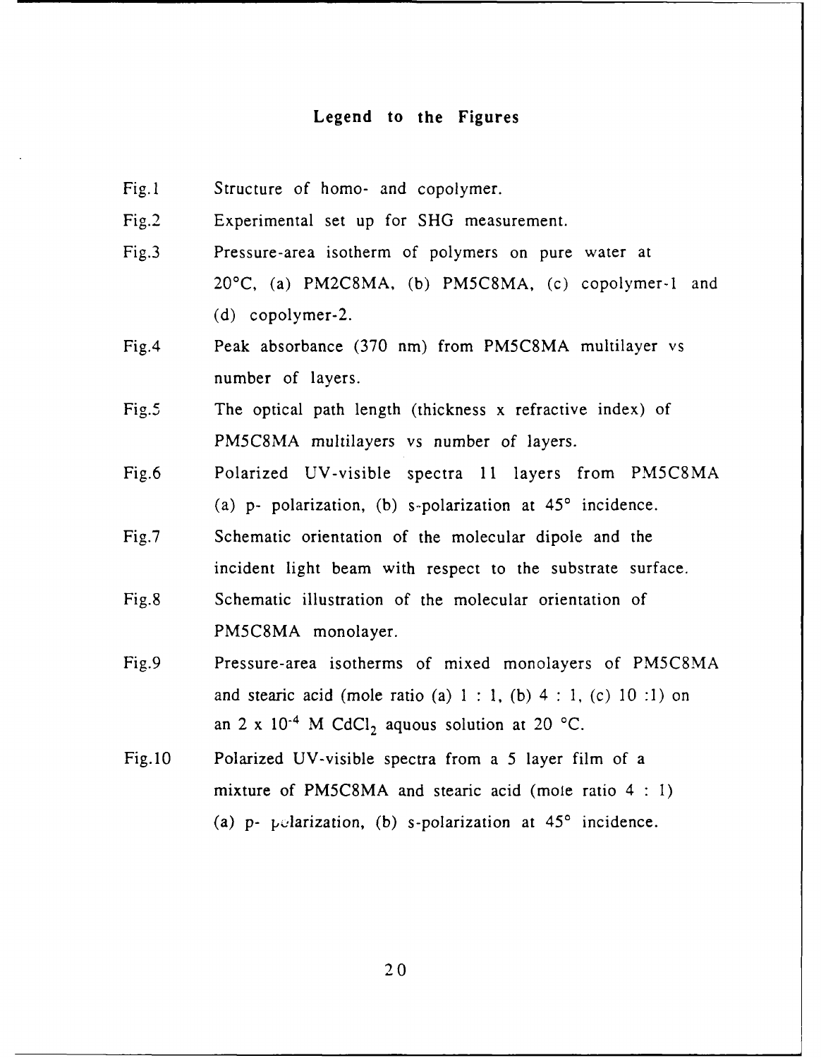#### **Legend to the Figures**

Fig.l Structure of homo- and copolymer.

Fig.2 Experimental set up for SHG measurement.

- Fig.3 Pressure-area isotherm of polymers on pure water at 20'C, (a) PM2C8MA, (b) PM5C8MA, (c) copolymer-1 and (d) copolymer-2.
- Fig.4 Peak absorbance (370 nm) from PM5C8MA multilayer vs number of layers.
- Fig.5 The optical path length (thickness x refractive index) of PM5C8MA multilayers vs number of layers.
- Fig.6 Polarized UV-visible spectra 11 layers from **PM5C8MA** (a) p- polarization, (b) s-polarization at **450** incidence.
- Fig.7 Schematic orientation of the molecular dipole and the incident light beam with respect to the substrate surface. Fig.8 Schematic illustration of the molecular orientation of PM5C8MA monolayer.
- Fig.9 Pressure-area isotherms of mixed monolayers of PM5C8MA and stearic acid (mole ratio (a) 1 **:** 1, (b) 4 **:** 1, (c) 10 :1) on an 2 x  $10^{-4}$  M CdCl<sub>2</sub> aquous solution at 20 °C.
- Fig.10 Polarized UV-visible spectra from a 5 layer film of a mixture of PM5C8MA and stearic acid (mole ratio 4 **: 1)** (a)  $p$ -  $p$ - *p*-darization, (b) s-polarization at  $45^\circ$  incidence.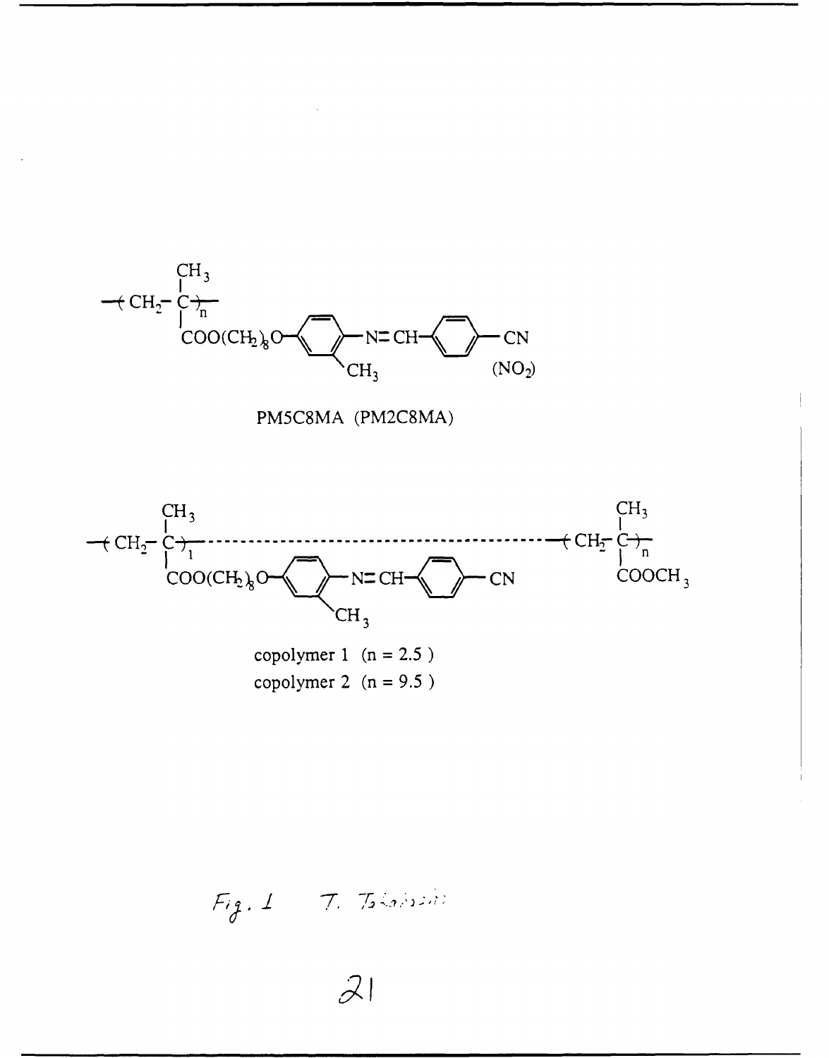





copolymer 2  $(n = 9.5)$ 

 $Fig. 1 - 7.$  Tobalasin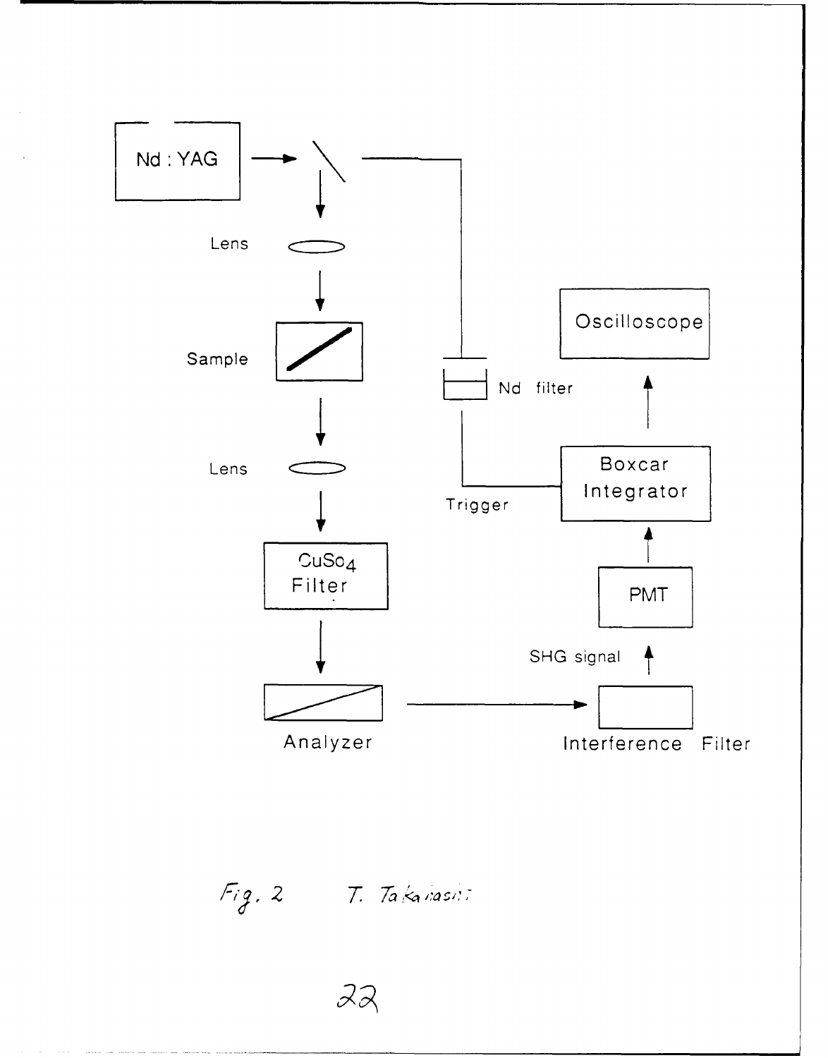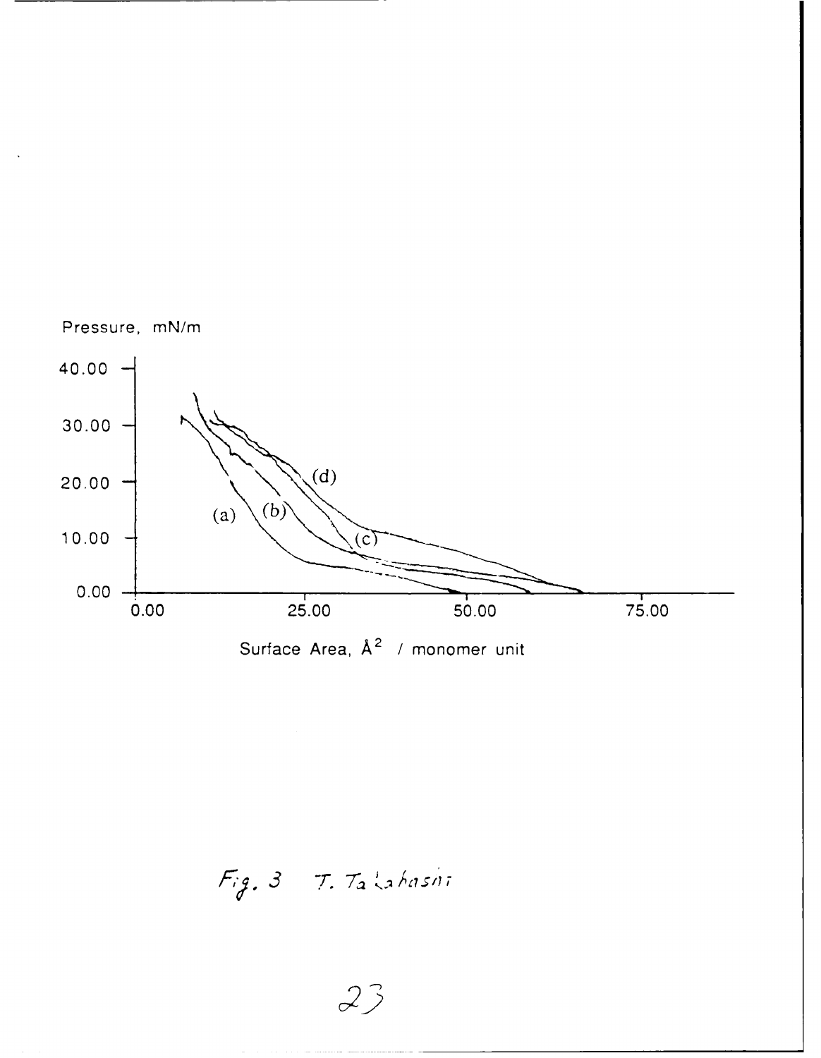

*Fy3 Tr.* **7- 1-**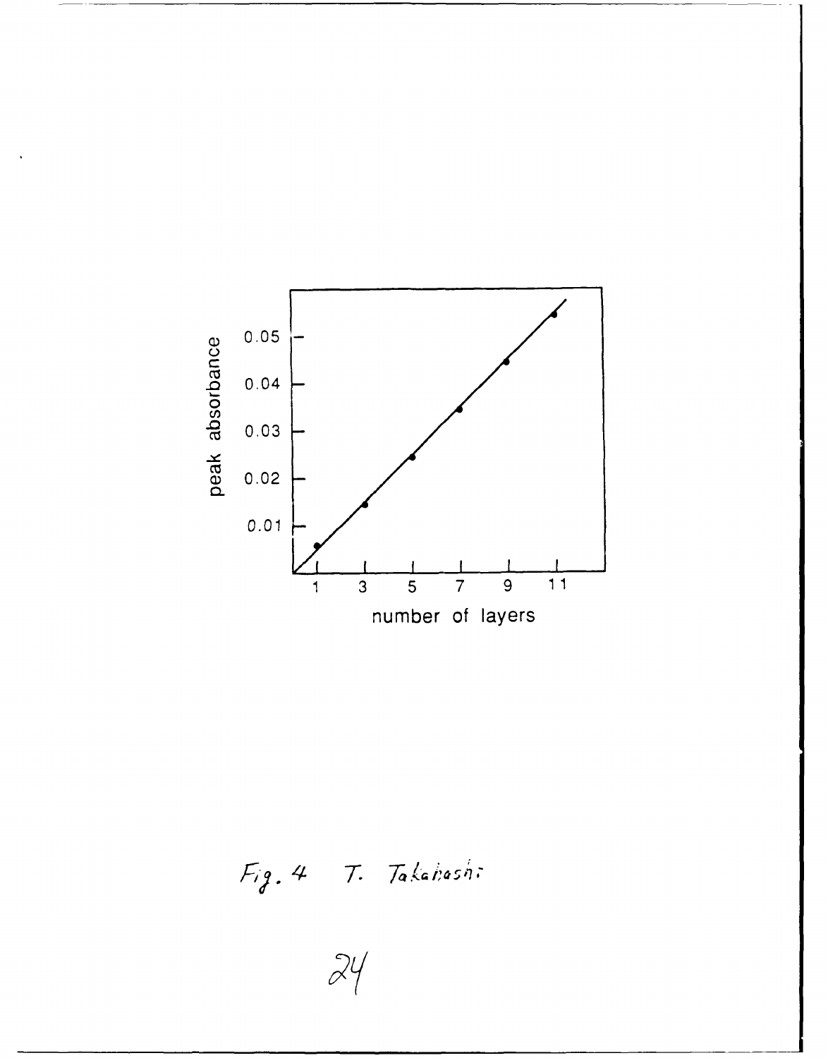

Fig. 4 T. Takahashi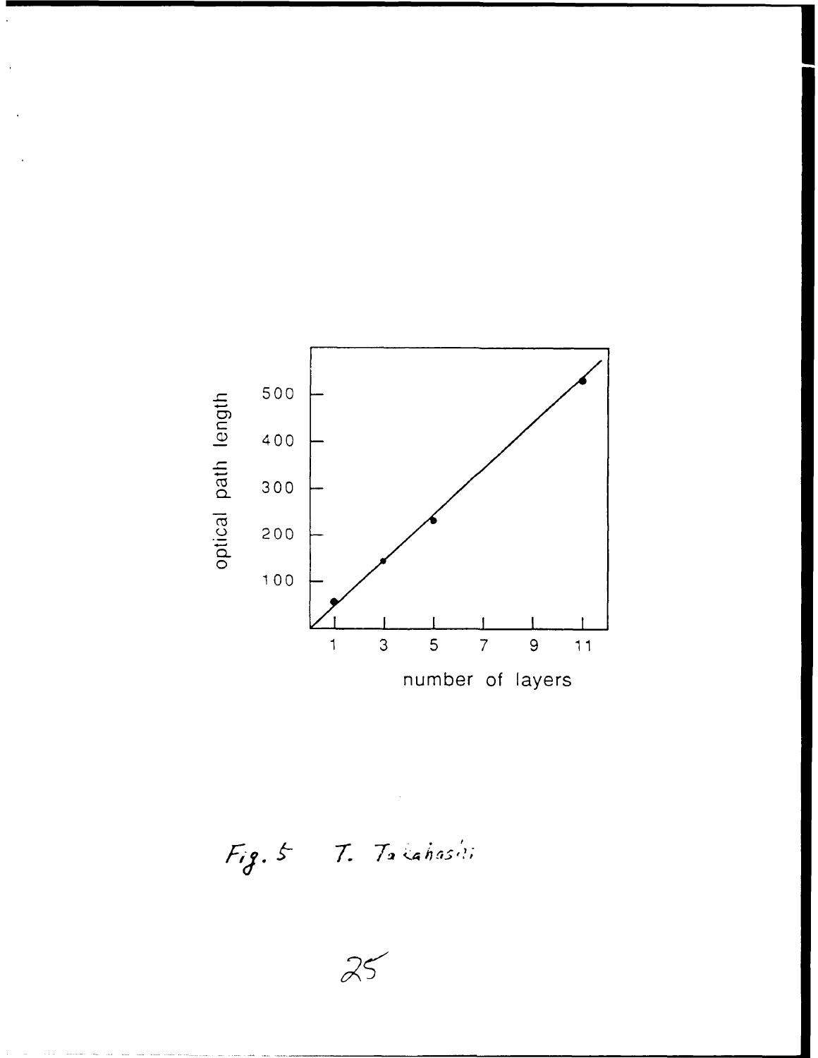

Fig. 5 T. Takahashi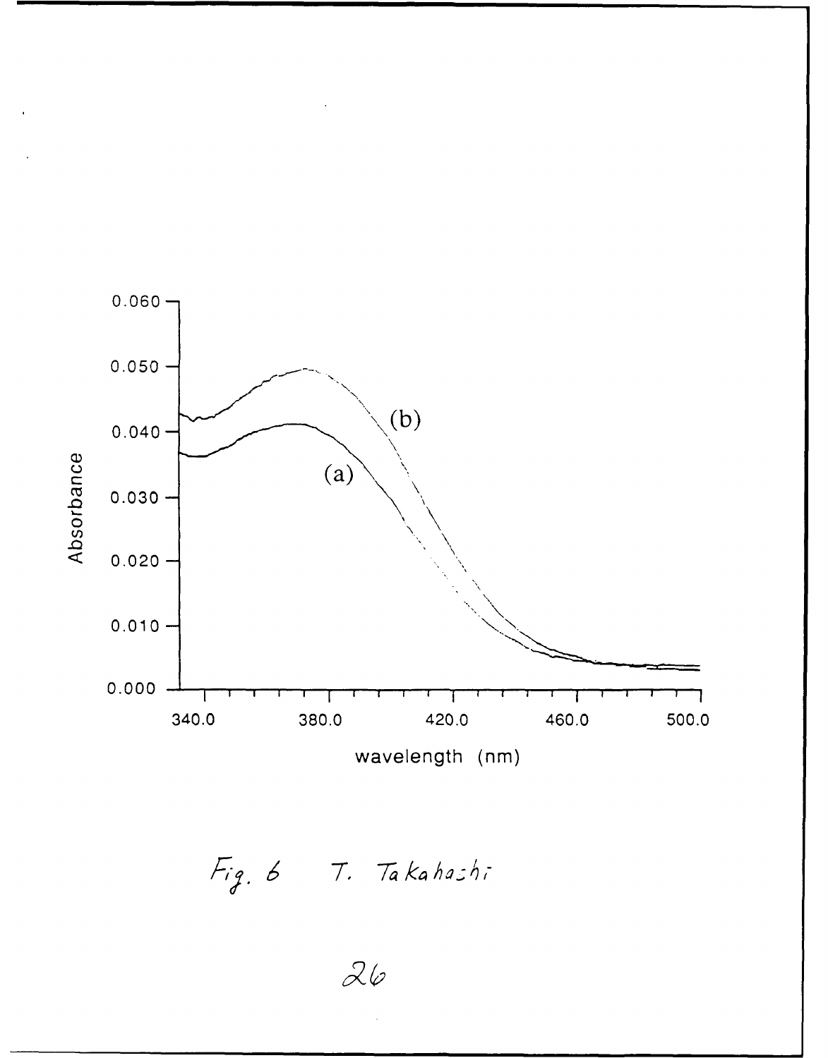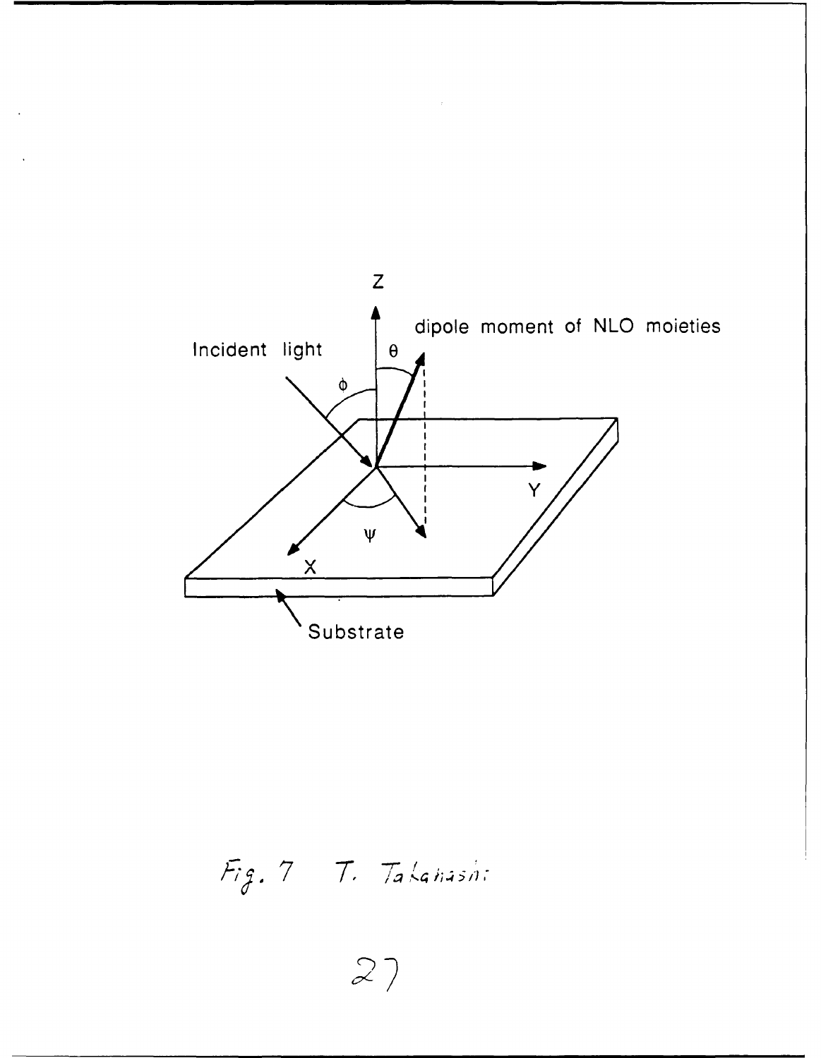

Fig. 7 T. Takanashi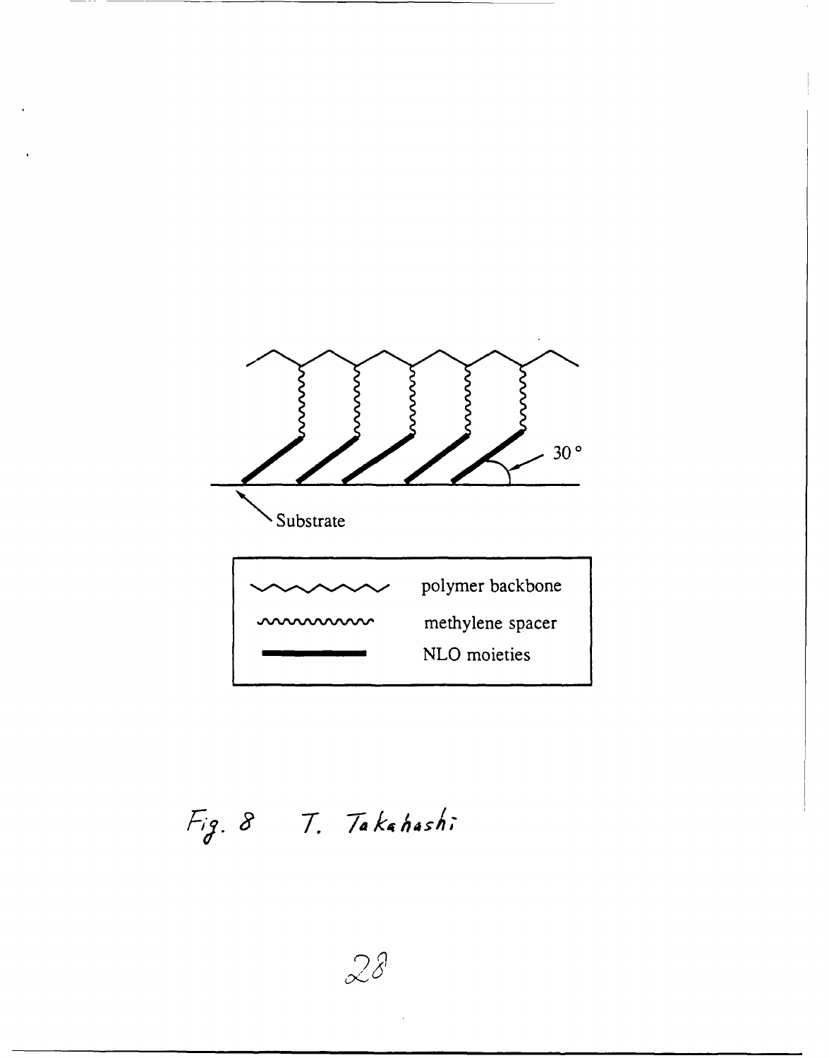

Fig. 8 T. Takahashi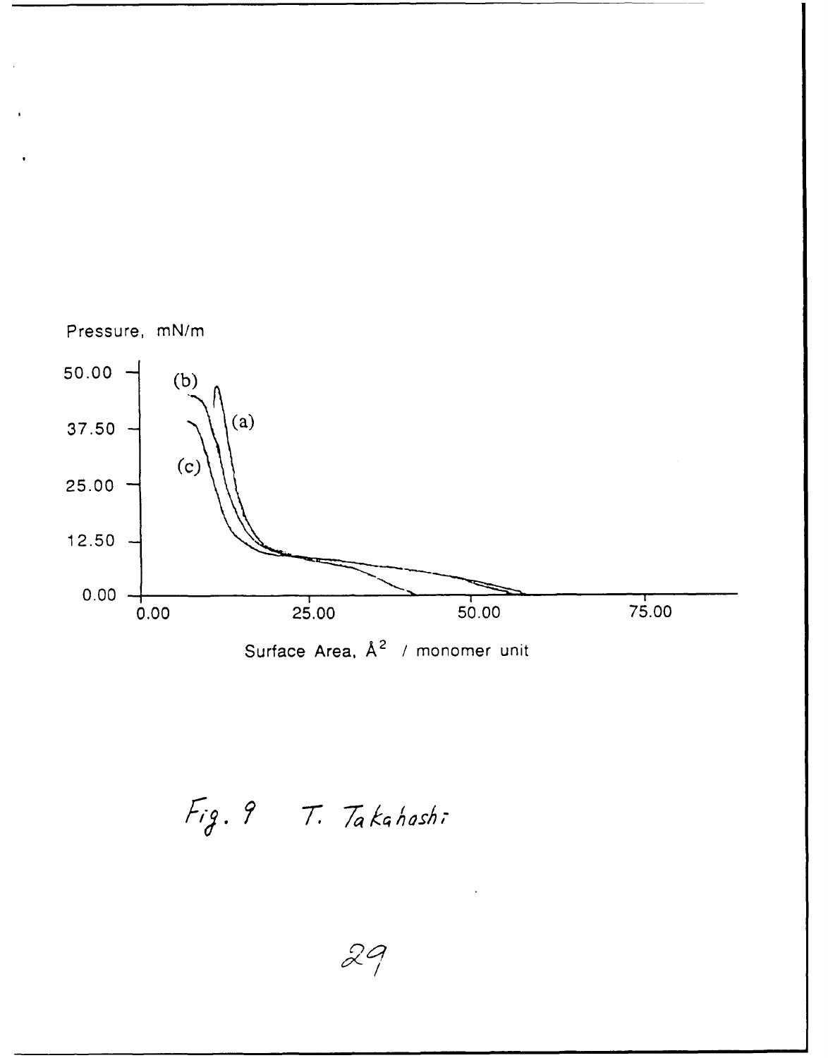

Fig. 9 T. Takahashi

29